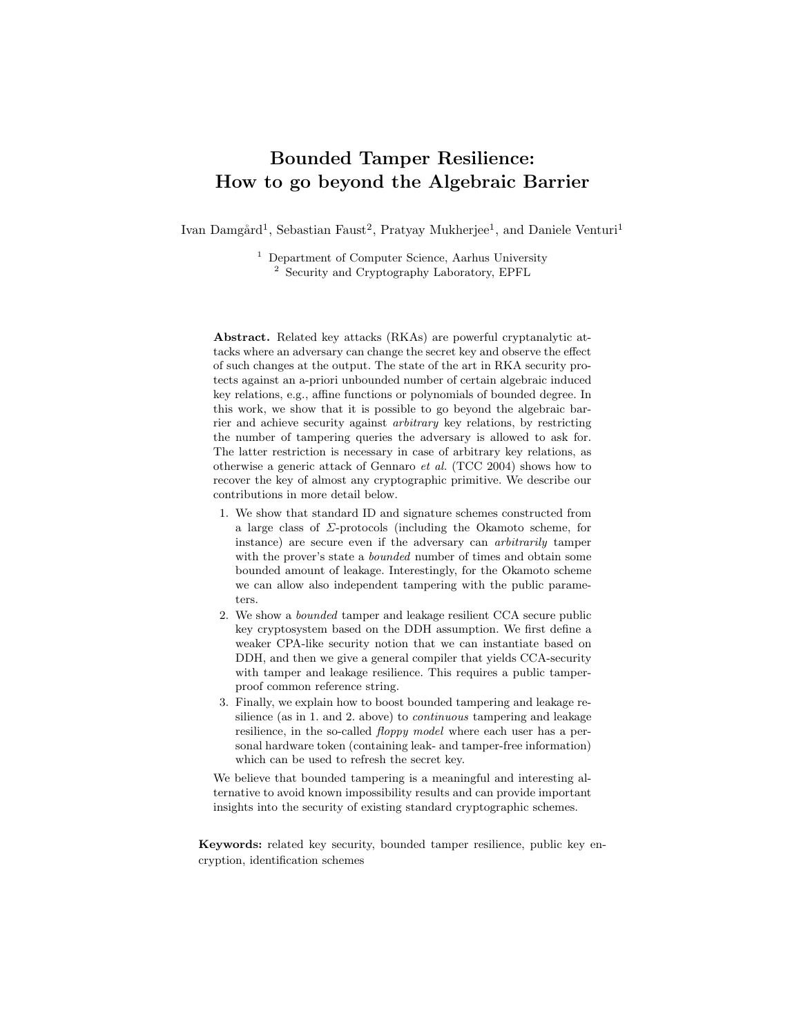# Bounded Tamper Resilience: How to go beyond the Algebraic Barrier

Ivan Damgård<sup>1</sup>, Sebastian Faust<sup>2</sup>, Pratyay Mukherjee<sup>1</sup>, and Daniele Venturi<sup>1</sup>

<sup>1</sup> Department of Computer Science, Aarhus University <sup>2</sup> Security and Cryptography Laboratory, EPFL

Abstract. Related key attacks (RKAs) are powerful cryptanalytic attacks where an adversary can change the secret key and observe the effect of such changes at the output. The state of the art in RKA security protects against an a-priori unbounded number of certain algebraic induced key relations, e.g., affine functions or polynomials of bounded degree. In this work, we show that it is possible to go beyond the algebraic barrier and achieve security against arbitrary key relations, by restricting the number of tampering queries the adversary is allowed to ask for. The latter restriction is necessary in case of arbitrary key relations, as otherwise a generic attack of Gennaro et al. (TCC 2004) shows how to recover the key of almost any cryptographic primitive. We describe our contributions in more detail below.

- 1. We show that standard ID and signature schemes constructed from a large class of  $\Sigma$ -protocols (including the Okamoto scheme, for instance) are secure even if the adversary can arbitrarily tamper with the prover's state a *bounded* number of times and obtain some bounded amount of leakage. Interestingly, for the Okamoto scheme we can allow also independent tampering with the public parameters.
- 2. We show a bounded tamper and leakage resilient CCA secure public key cryptosystem based on the DDH assumption. We first define a weaker CPA-like security notion that we can instantiate based on DDH, and then we give a general compiler that yields CCA-security with tamper and leakage resilience. This requires a public tamperproof common reference string.
- 3. Finally, we explain how to boost bounded tampering and leakage resilience (as in 1. and 2. above) to continuous tampering and leakage resilience, in the so-called *floppy model* where each user has a personal hardware token (containing leak- and tamper-free information) which can be used to refresh the secret key.

We believe that bounded tampering is a meaningful and interesting alternative to avoid known impossibility results and can provide important insights into the security of existing standard cryptographic schemes.

Keywords: related key security, bounded tamper resilience, public key encryption, identification schemes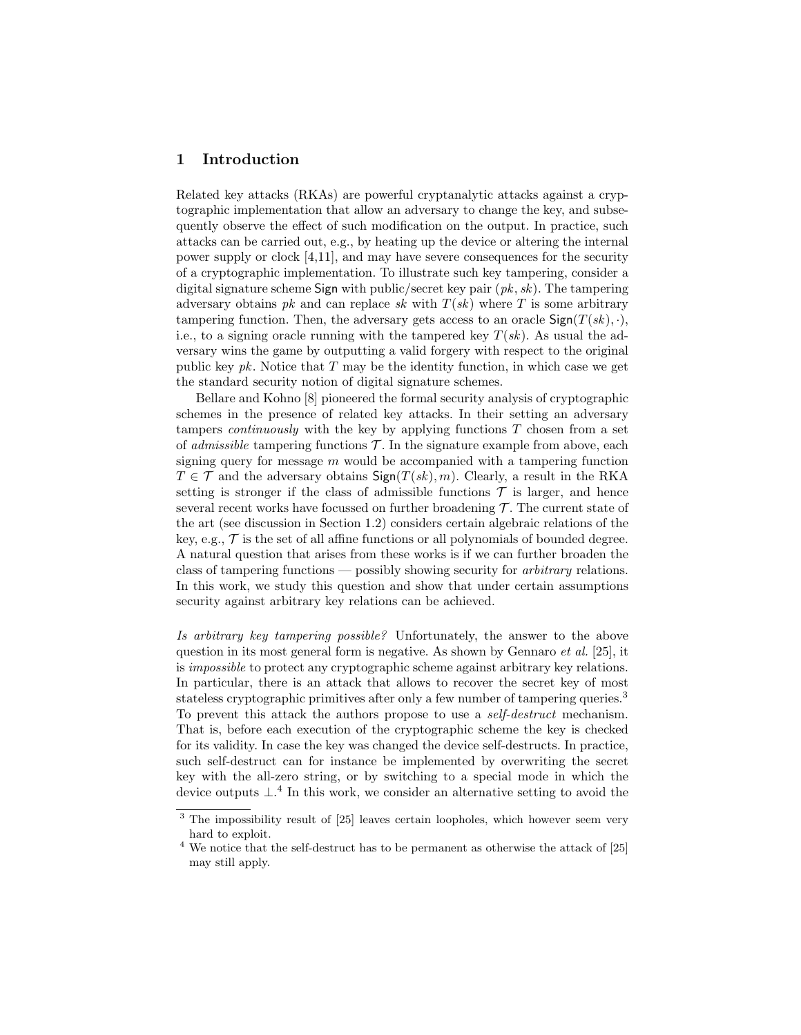# 1 Introduction

Related key attacks (RKAs) are powerful cryptanalytic attacks against a cryptographic implementation that allow an adversary to change the key, and subsequently observe the effect of such modification on the output. In practice, such attacks can be carried out, e.g., by heating up the device or altering the internal power supply or clock [4,11], and may have severe consequences for the security of a cryptographic implementation. To illustrate such key tampering, consider a digital signature scheme Sign with public/secret key pair  $(pk, sk)$ . The tampering adversary obtains pk and can replace sk with  $T(s_k)$  where T is some arbitrary tampering function. Then, the adversary gets access to an oracle  $\text{Sign}(T(sk), \cdot)$ , i.e., to a signing oracle running with the tampered key  $T(sk)$ . As usual the adversary wins the game by outputting a valid forgery with respect to the original public key  $pk$ . Notice that  $T$  may be the identity function, in which case we get the standard security notion of digital signature schemes.

Bellare and Kohno [8] pioneered the formal security analysis of cryptographic schemes in the presence of related key attacks. In their setting an adversary tampers *continuously* with the key by applying functions  $T$  chosen from a set of *admissible* tampering functions  $\mathcal{T}$ . In the signature example from above, each signing query for message  $m$  would be accompanied with a tampering function  $T \in \mathcal{T}$  and the adversary obtains  $\text{Sign}(T(sk), m)$ . Clearly, a result in the RKA setting is stronger if the class of admissible functions  $\mathcal T$  is larger, and hence several recent works have focussed on further broadening  $\mathcal T$ . The current state of the art (see discussion in Section 1.2) considers certain algebraic relations of the key, e.g.,  $\mathcal{T}$  is the set of all affine functions or all polynomials of bounded degree. A natural question that arises from these works is if we can further broaden the class of tampering functions — possibly showing security for arbitrary relations. In this work, we study this question and show that under certain assumptions security against arbitrary key relations can be achieved.

Is arbitrary key tampering possible? Unfortunately, the answer to the above question in its most general form is negative. As shown by Gennaro *et al.* [25], it is impossible to protect any cryptographic scheme against arbitrary key relations. In particular, there is an attack that allows to recover the secret key of most stateless cryptographic primitives after only a few number of tampering queries.<sup>3</sup> To prevent this attack the authors propose to use a self-destruct mechanism. That is, before each execution of the cryptographic scheme the key is checked for its validity. In case the key was changed the device self-destructs. In practice, such self-destruct can for instance be implemented by overwriting the secret key with the all-zero string, or by switching to a special mode in which the device outputs ⊥. 4 In this work, we consider an alternative setting to avoid the

<sup>&</sup>lt;sup>3</sup> The impossibility result of [25] leaves certain loopholes, which however seem very hard to exploit.

 $^4$  We notice that the self-destruct has to be permanent as otherwise the attack of  $[25]$ may still apply.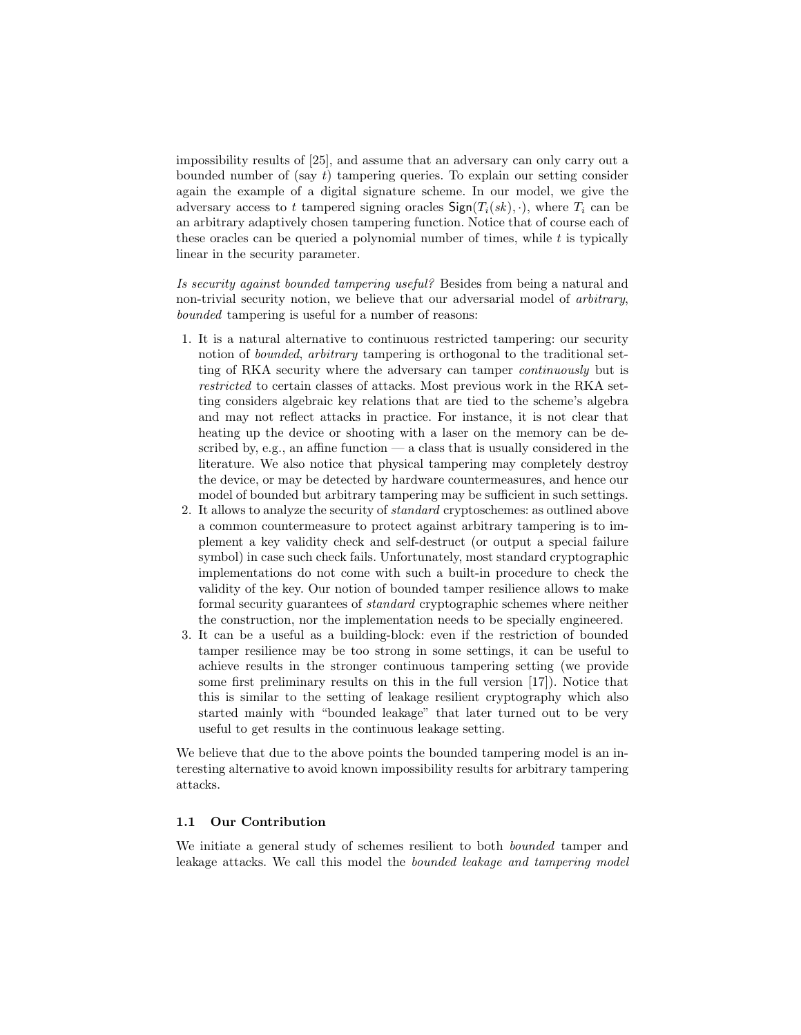impossibility results of [25], and assume that an adversary can only carry out a bounded number of  $(say t)$  tampering queries. To explain our setting consider again the example of a digital signature scheme. In our model, we give the adversary access to t tampered signing oracles  $\mathsf{Sign}(T_i(sk), \cdot)$ , where  $T_i$  can be an arbitrary adaptively chosen tampering function. Notice that of course each of these oracles can be queried a polynomial number of times, while  $t$  is typically linear in the security parameter.

Is security against bounded tampering useful? Besides from being a natural and non-trivial security notion, we believe that our adversarial model of arbitrary, bounded tampering is useful for a number of reasons:

- 1. It is a natural alternative to continuous restricted tampering: our security notion of *bounded, arbitrary* tampering is orthogonal to the traditional setting of RKA security where the adversary can tamper continuously but is restricted to certain classes of attacks. Most previous work in the RKA setting considers algebraic key relations that are tied to the scheme's algebra and may not reflect attacks in practice. For instance, it is not clear that heating up the device or shooting with a laser on the memory can be described by, e.g., an affine function  $-$  a class that is usually considered in the literature. We also notice that physical tampering may completely destroy the device, or may be detected by hardware countermeasures, and hence our model of bounded but arbitrary tampering may be sufficient in such settings.
- 2. It allows to analyze the security of standard cryptoschemes: as outlined above a common countermeasure to protect against arbitrary tampering is to implement a key validity check and self-destruct (or output a special failure symbol) in case such check fails. Unfortunately, most standard cryptographic implementations do not come with such a built-in procedure to check the validity of the key. Our notion of bounded tamper resilience allows to make formal security guarantees of standard cryptographic schemes where neither the construction, nor the implementation needs to be specially engineered.
- 3. It can be a useful as a building-block: even if the restriction of bounded tamper resilience may be too strong in some settings, it can be useful to achieve results in the stronger continuous tampering setting (we provide some first preliminary results on this in the full version [17]). Notice that this is similar to the setting of leakage resilient cryptography which also started mainly with "bounded leakage" that later turned out to be very useful to get results in the continuous leakage setting.

We believe that due to the above points the bounded tampering model is an interesting alternative to avoid known impossibility results for arbitrary tampering attacks.

## 1.1 Our Contribution

We initiate a general study of schemes resilient to both bounded tamper and leakage attacks. We call this model the bounded leakage and tampering model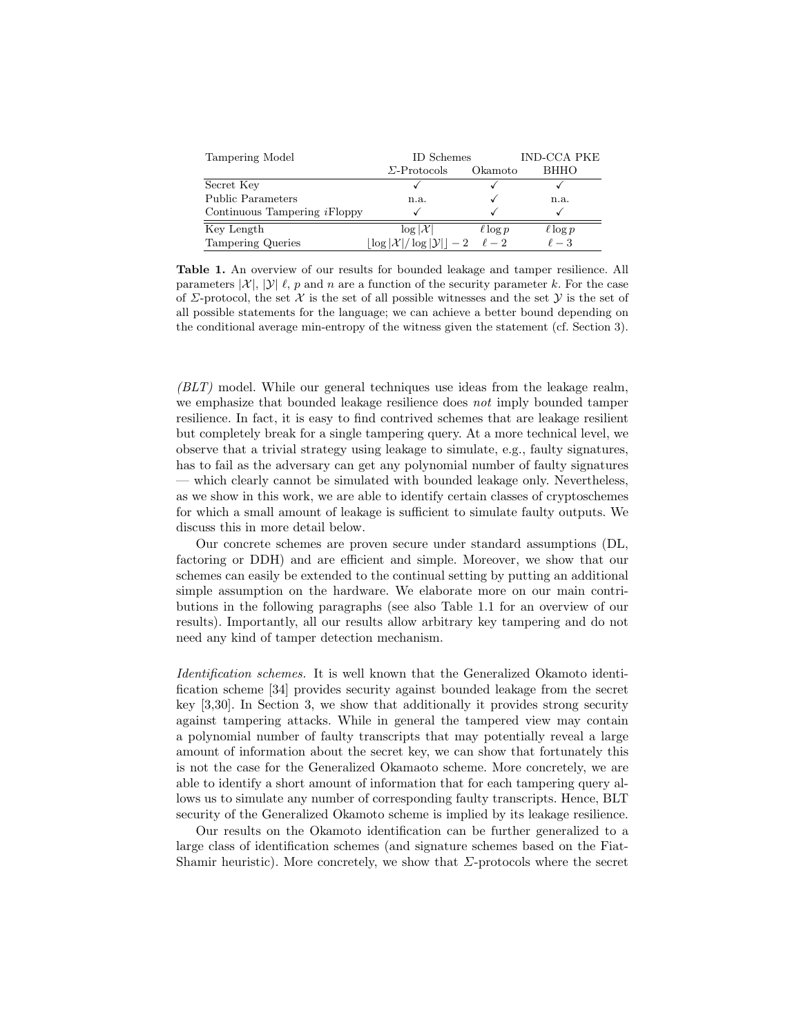| Tampering Model                      | ID Schemes                                    |               | <b>IND-CCA PKE</b> |
|--------------------------------------|-----------------------------------------------|---------------|--------------------|
|                                      | $\Sigma$ -Protocols                           | Okamoto       | <b>BHHO</b>        |
| Secret Key                           |                                               |               |                    |
| <b>Public Parameters</b>             | n.a.                                          |               | n.a.               |
| Continuous Tampering <i>i</i> Floppy |                                               |               |                    |
| Key Length                           | $\log  \mathcal{X} $                          | $\ell \log p$ | $\ell \log p$      |
| Tampering Queries                    | $\log  \mathcal{X}  / \log  \mathcal{Y}  - 2$ | $\ell-2$      | $\ell = 3$         |

Table 1. An overview of our results for bounded leakage and tamper resilience. All parameters  $|\mathcal{X}|$ ,  $|\mathcal{Y}| \ell$ , p and n are a function of the security parameter k. For the case of  $\Sigma$ -protocol, the set  $\mathcal X$  is the set of all possible witnesses and the set  $\mathcal Y$  is the set of all possible statements for the language; we can achieve a better bound depending on the conditional average min-entropy of the witness given the statement (cf. Section 3).

(BLT) model. While our general techniques use ideas from the leakage realm, we emphasize that bounded leakage resilience does not imply bounded tamper resilience. In fact, it is easy to find contrived schemes that are leakage resilient but completely break for a single tampering query. At a more technical level, we observe that a trivial strategy using leakage to simulate, e.g., faulty signatures, has to fail as the adversary can get any polynomial number of faulty signatures — which clearly cannot be simulated with bounded leakage only. Nevertheless, as we show in this work, we are able to identify certain classes of cryptoschemes for which a small amount of leakage is sufficient to simulate faulty outputs. We discuss this in more detail below.

Our concrete schemes are proven secure under standard assumptions (DL, factoring or DDH) and are efficient and simple. Moreover, we show that our schemes can easily be extended to the continual setting by putting an additional simple assumption on the hardware. We elaborate more on our main contributions in the following paragraphs (see also Table 1.1 for an overview of our results). Importantly, all our results allow arbitrary key tampering and do not need any kind of tamper detection mechanism.

Identification schemes. It is well known that the Generalized Okamoto identification scheme [34] provides security against bounded leakage from the secret key [3,30]. In Section 3, we show that additionally it provides strong security against tampering attacks. While in general the tampered view may contain a polynomial number of faulty transcripts that may potentially reveal a large amount of information about the secret key, we can show that fortunately this is not the case for the Generalized Okamaoto scheme. More concretely, we are able to identify a short amount of information that for each tampering query allows us to simulate any number of corresponding faulty transcripts. Hence, BLT security of the Generalized Okamoto scheme is implied by its leakage resilience.

Our results on the Okamoto identification can be further generalized to a large class of identification schemes (and signature schemes based on the Fiat-Shamir heuristic). More concretely, we show that  $\Sigma$ -protocols where the secret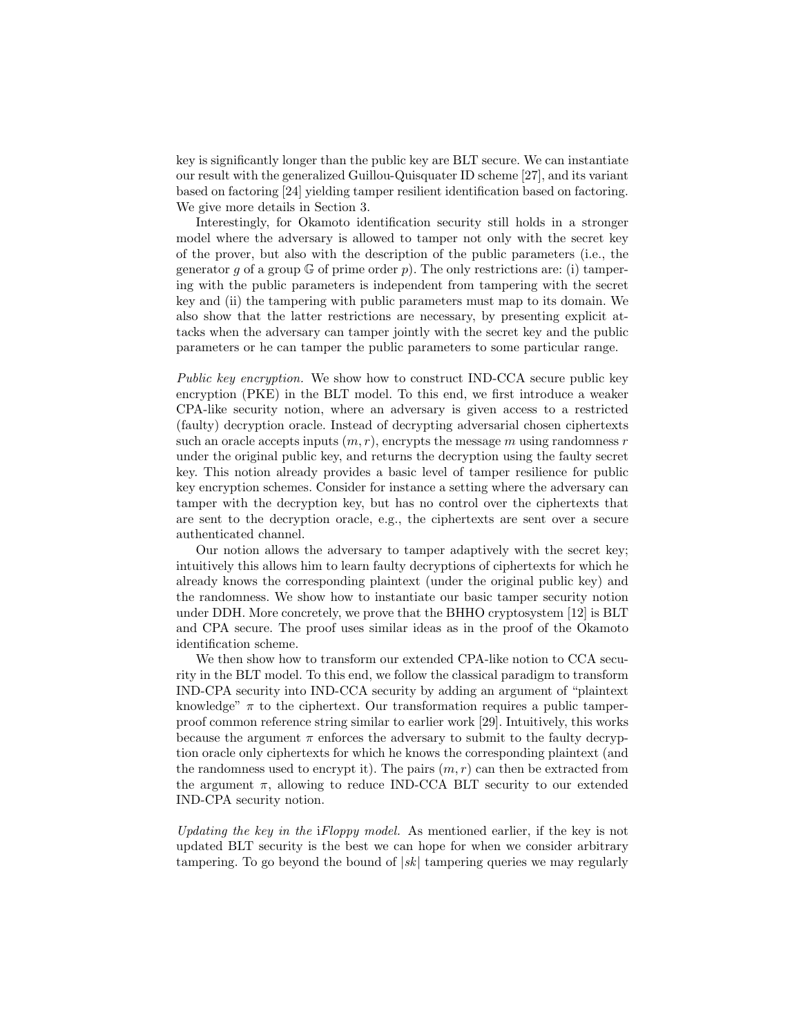key is significantly longer than the public key are BLT secure. We can instantiate our result with the generalized Guillou-Quisquater ID scheme [27], and its variant based on factoring [24] yielding tamper resilient identification based on factoring. We give more details in Section 3.

Interestingly, for Okamoto identification security still holds in a stronger model where the adversary is allowed to tamper not only with the secret key of the prover, but also with the description of the public parameters (i.e., the generator q of a group  $\mathbb G$  of prime order p). The only restrictions are: (i) tampering with the public parameters is independent from tampering with the secret key and (ii) the tampering with public parameters must map to its domain. We also show that the latter restrictions are necessary, by presenting explicit attacks when the adversary can tamper jointly with the secret key and the public parameters or he can tamper the public parameters to some particular range.

Public key encryption. We show how to construct IND-CCA secure public key encryption (PKE) in the BLT model. To this end, we first introduce a weaker CPA-like security notion, where an adversary is given access to a restricted (faulty) decryption oracle. Instead of decrypting adversarial chosen ciphertexts such an oracle accepts inputs  $(m, r)$ , encrypts the message m using randomness r under the original public key, and returns the decryption using the faulty secret key. This notion already provides a basic level of tamper resilience for public key encryption schemes. Consider for instance a setting where the adversary can tamper with the decryption key, but has no control over the ciphertexts that are sent to the decryption oracle, e.g., the ciphertexts are sent over a secure authenticated channel.

Our notion allows the adversary to tamper adaptively with the secret key; intuitively this allows him to learn faulty decryptions of ciphertexts for which he already knows the corresponding plaintext (under the original public key) and the randomness. We show how to instantiate our basic tamper security notion under DDH. More concretely, we prove that the BHHO cryptosystem [12] is BLT and CPA secure. The proof uses similar ideas as in the proof of the Okamoto identification scheme.

We then show how to transform our extended CPA-like notion to CCA security in the BLT model. To this end, we follow the classical paradigm to transform IND-CPA security into IND-CCA security by adding an argument of "plaintext knowledge"  $\pi$  to the ciphertext. Our transformation requires a public tamperproof common reference string similar to earlier work [29]. Intuitively, this works because the argument  $\pi$  enforces the adversary to submit to the faulty decryption oracle only ciphertexts for which he knows the corresponding plaintext (and the randomness used to encrypt it). The pairs  $(m, r)$  can then be extracted from the argument  $\pi$ , allowing to reduce IND-CCA BLT security to our extended IND-CPA security notion.

Updating the key in the iFloppy model. As mentioned earlier, if the key is not updated BLT security is the best we can hope for when we consider arbitrary tampering. To go beyond the bound of  $|sk|$  tampering queries we may regularly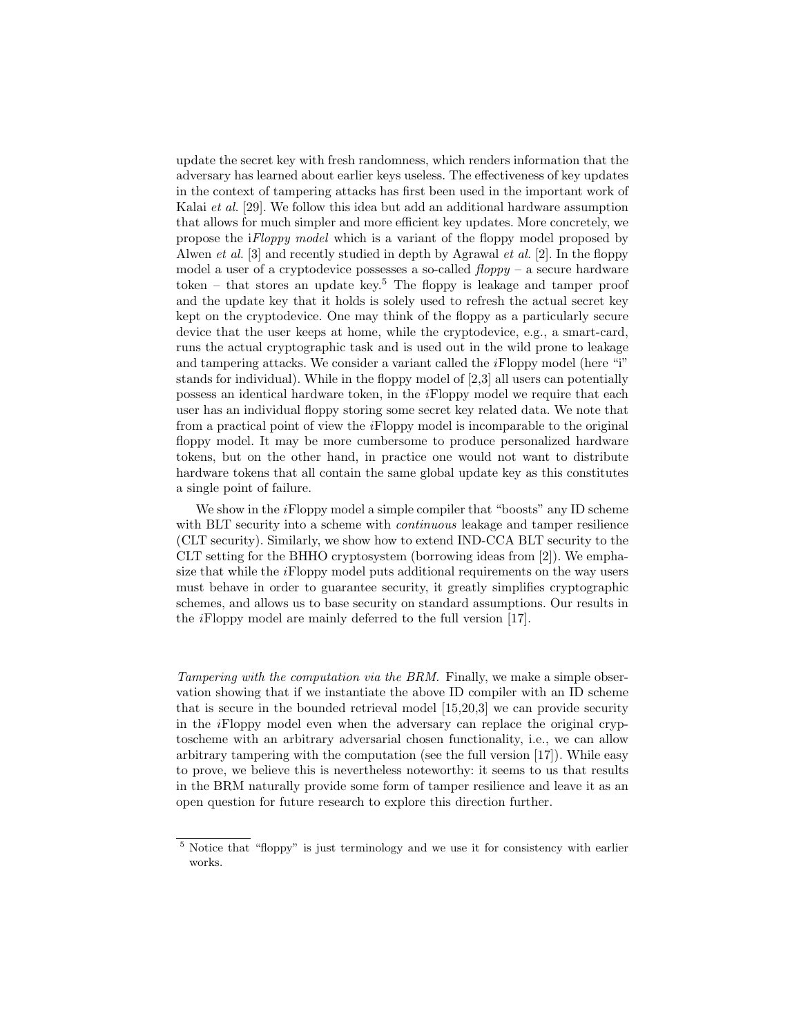update the secret key with fresh randomness, which renders information that the adversary has learned about earlier keys useless. The effectiveness of key updates in the context of tampering attacks has first been used in the important work of Kalai et al. [29]. We follow this idea but add an additional hardware assumption that allows for much simpler and more efficient key updates. More concretely, we propose the iFloppy model which is a variant of the floppy model proposed by Alwen *et al.* [3] and recently studied in depth by Agrawal *et al.* [2]. In the floppy model a user of a cryptodevice possesses a so-called  $f_{\ell}$  = a secure hardware token – that stores an update key.<sup>5</sup> The floppy is leakage and tamper proof and the update key that it holds is solely used to refresh the actual secret key kept on the cryptodevice. One may think of the floppy as a particularly secure device that the user keeps at home, while the cryptodevice, e.g., a smart-card, runs the actual cryptographic task and is used out in the wild prone to leakage and tampering attacks. We consider a variant called the  $iF$ loppy model (here "i" stands for individual). While in the floppy model of [2,3] all users can potentially possess an identical hardware token, in the iFloppy model we require that each user has an individual floppy storing some secret key related data. We note that from a practical point of view the iFloppy model is incomparable to the original floppy model. It may be more cumbersome to produce personalized hardware tokens, but on the other hand, in practice one would not want to distribute hardware tokens that all contain the same global update key as this constitutes a single point of failure.

We show in the  $i$ Floppy model a simple compiler that "boosts" any ID scheme with BLT security into a scheme with *continuous* leakage and tamper resilience (CLT security). Similarly, we show how to extend IND-CCA BLT security to the CLT setting for the BHHO cryptosystem (borrowing ideas from [2]). We emphasize that while the iFloppy model puts additional requirements on the way users must behave in order to guarantee security, it greatly simplifies cryptographic schemes, and allows us to base security on standard assumptions. Our results in the iFloppy model are mainly deferred to the full version [17].

Tampering with the computation via the BRM. Finally, we make a simple observation showing that if we instantiate the above ID compiler with an ID scheme that is secure in the bounded retrieval model [15,20,3] we can provide security in the iFloppy model even when the adversary can replace the original cryptoscheme with an arbitrary adversarial chosen functionality, i.e., we can allow arbitrary tampering with the computation (see the full version [17]). While easy to prove, we believe this is nevertheless noteworthy: it seems to us that results in the BRM naturally provide some form of tamper resilience and leave it as an open question for future research to explore this direction further.

<sup>&</sup>lt;sup>5</sup> Notice that "floppy" is just terminology and we use it for consistency with earlier works.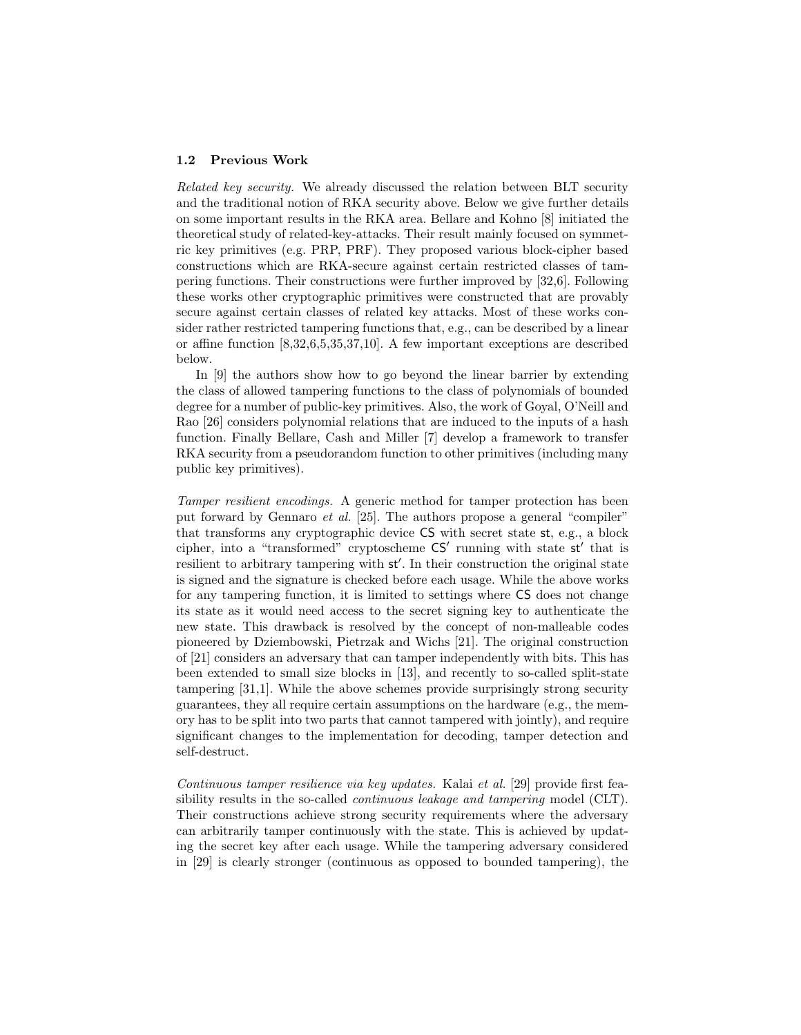### 1.2 Previous Work

Related key security. We already discussed the relation between BLT security and the traditional notion of RKA security above. Below we give further details on some important results in the RKA area. Bellare and Kohno [8] initiated the theoretical study of related-key-attacks. Their result mainly focused on symmetric key primitives (e.g. PRP, PRF). They proposed various block-cipher based constructions which are RKA-secure against certain restricted classes of tampering functions. Their constructions were further improved by [32,6]. Following these works other cryptographic primitives were constructed that are provably secure against certain classes of related key attacks. Most of these works consider rather restricted tampering functions that, e.g., can be described by a linear or affine function [8,32,6,5,35,37,10]. A few important exceptions are described below.

In [9] the authors show how to go beyond the linear barrier by extending the class of allowed tampering functions to the class of polynomials of bounded degree for a number of public-key primitives. Also, the work of Goyal, O'Neill and Rao [26] considers polynomial relations that are induced to the inputs of a hash function. Finally Bellare, Cash and Miller [7] develop a framework to transfer RKA security from a pseudorandom function to other primitives (including many public key primitives).

Tamper resilient encodings. A generic method for tamper protection has been put forward by Gennaro et al. [25]. The authors propose a general "compiler" that transforms any cryptographic device CS with secret state st, e.g., a block cipher, into a "transformed" cryptoscheme  $CS'$  running with state  $st'$  that is resilient to arbitrary tampering with  $st'$ . In their construction the original state is signed and the signature is checked before each usage. While the above works for any tampering function, it is limited to settings where CS does not change its state as it would need access to the secret signing key to authenticate the new state. This drawback is resolved by the concept of non-malleable codes pioneered by Dziembowski, Pietrzak and Wichs [21]. The original construction of [21] considers an adversary that can tamper independently with bits. This has been extended to small size blocks in [13], and recently to so-called split-state tampering [31,1]. While the above schemes provide surprisingly strong security guarantees, they all require certain assumptions on the hardware (e.g., the memory has to be split into two parts that cannot tampered with jointly), and require significant changes to the implementation for decoding, tamper detection and self-destruct.

Continuous tamper resilience via key updates. Kalai et al. [29] provide first feasibility results in the so-called continuous leakage and tampering model (CLT). Their constructions achieve strong security requirements where the adversary can arbitrarily tamper continuously with the state. This is achieved by updating the secret key after each usage. While the tampering adversary considered in [29] is clearly stronger (continuous as opposed to bounded tampering), the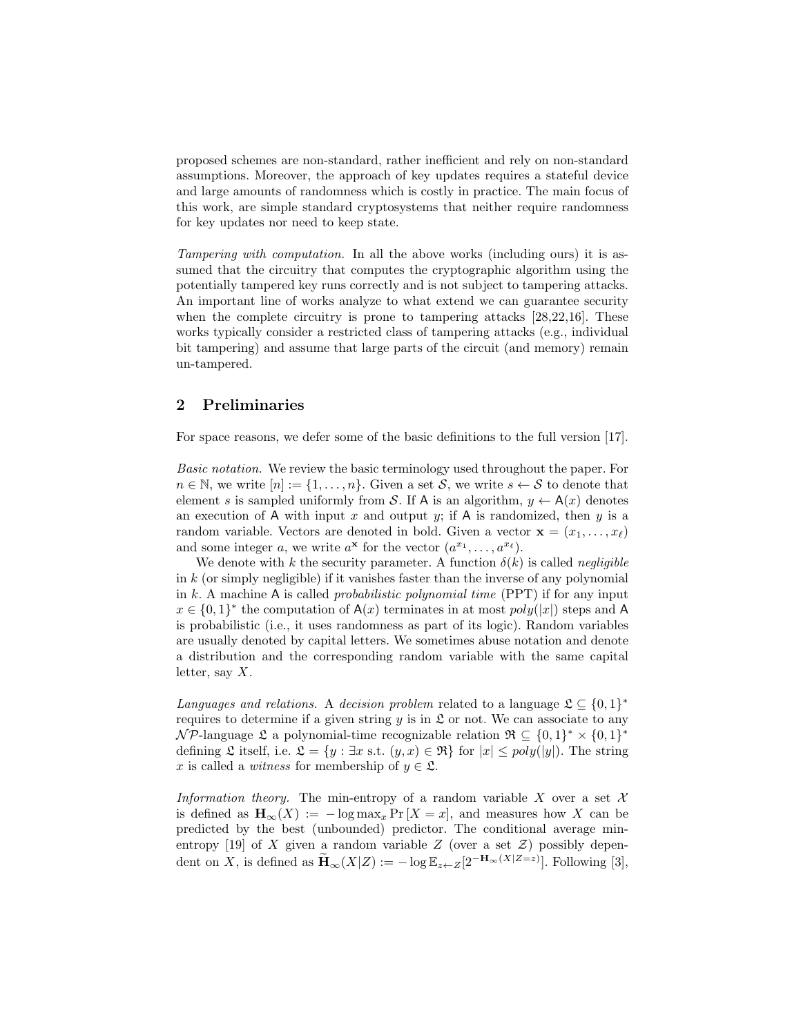proposed schemes are non-standard, rather inefficient and rely on non-standard assumptions. Moreover, the approach of key updates requires a stateful device and large amounts of randomness which is costly in practice. The main focus of this work, are simple standard cryptosystems that neither require randomness for key updates nor need to keep state.

Tampering with computation. In all the above works (including ours) it is assumed that the circuitry that computes the cryptographic algorithm using the potentially tampered key runs correctly and is not subject to tampering attacks. An important line of works analyze to what extend we can guarantee security when the complete circuitry is prone to tampering attacks [28,22,16]. These works typically consider a restricted class of tampering attacks (e.g., individual bit tampering) and assume that large parts of the circuit (and memory) remain un-tampered.

## 2 Preliminaries

For space reasons, we defer some of the basic definitions to the full version [17].

Basic notation. We review the basic terminology used throughout the paper. For  $n \in \mathbb{N}$ , we write  $[n] := \{1, \ldots, n\}$ . Given a set S, we write  $s \leftarrow S$  to denote that element s is sampled uniformly from S. If A is an algorithm,  $y \leftarrow A(x)$  denotes an execution of A with input  $x$  and output  $y$ ; if A is randomized, then  $y$  is a random variable. Vectors are denoted in bold. Given a vector  $\mathbf{x} = (x_1, \ldots, x_\ell)$ and some integer a, we write  $a^{\mathbf{x}}$  for the vector  $(a^{x_1}, \ldots, a^{x_\ell})$ .

We denote with k the security parameter. A function  $\delta(k)$  is called negligible in  $k$  (or simply negligible) if it vanishes faster than the inverse of any polynomial in k. A machine A is called *probabilistic polynomial time* (PPT) if for any input  $x \in \{0,1\}^*$  the computation of  $A(x)$  terminates in at most  $poly(|x|)$  steps and A is probabilistic (i.e., it uses randomness as part of its logic). Random variables are usually denoted by capital letters. We sometimes abuse notation and denote a distribution and the corresponding random variable with the same capital letter, say  $X$ .

Languages and relations. A decision problem related to a language  $\mathfrak{L} \subseteq \{0,1\}^*$ requires to determine if a given string  $y$  is in  $\mathfrak L$  or not. We can associate to any  $\mathcal{NP}$ -language  $\mathfrak{L}$  a polynomial-time recognizable relation  $\mathfrak{R} \subseteq \{0,1\}^* \times \{0,1\}^*$ defining L itself, i.e.  $\mathfrak{L} = \{y : \exists x \text{ s.t. } (y, x) \in \mathfrak{R} \}$  for  $|x| \leq poly(|y|)$ . The string x is called a *witness* for membership of  $y \in \mathfrak{L}$ .

Information theory. The min-entropy of a random variable X over a set  $\mathcal X$ is defined as  $\mathbf{H}_{\infty}(X) := -\log \max_{x} \Pr[X = x]$ , and measures how X can be predicted by the best (unbounded) predictor. The conditional average minentropy [19] of X given a random variable Z (over a set  $\mathcal{Z}$ ) possibly dependent on X, is defined as  $\widetilde{\mathbf{H}}_{\infty}(X|Z) := -\log \mathbb{E}_{z \leftarrow Z}[2^{-\mathbf{H}_{\infty}(X|Z=z)}]$ . Following [3],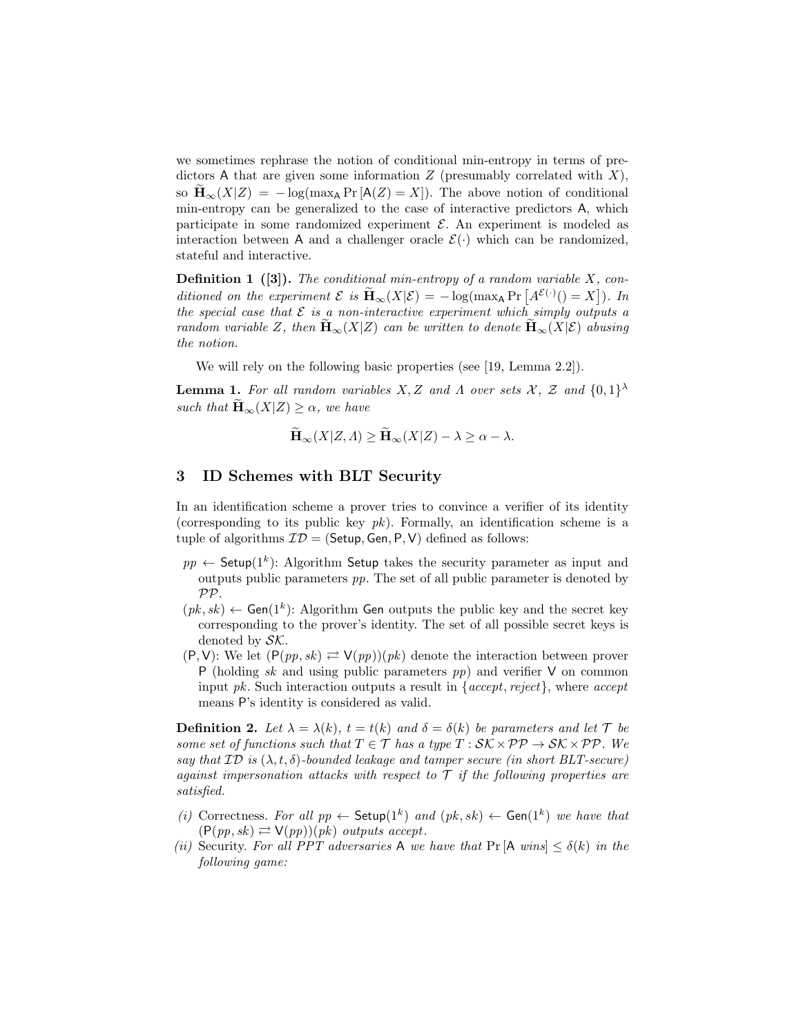we sometimes rephrase the notion of conditional min-entropy in terms of predictors A that are given some information  $Z$  (presumably correlated with  $X$ ), so  $H_{\infty}(X|Z) = -\log(\max_{A} \Pr[A(Z) = X])$ . The above notion of conditional min-entropy can be generalized to the case of interactive predictors A, which participate in some randomized experiment  $\mathcal{E}$ . An experiment is modeled as interaction between A and a challenger oracle  $\mathcal{E}(\cdot)$  which can be randomized, stateful and interactive.

**Definition 1** ([3]). The conditional min-entropy of a random variable  $X$ , conditioned on the experiment  $\mathcal{E}$  is  $\mathbf{\tilde{H}}_{\infty}(X|\mathcal{E}) = -\log(\max_{\mathbf{A}} \Pr[A^{\mathcal{E}(\cdot)}]) = X].$  In the special case that  $\mathcal E$  is a non-interactive experiment which simply outputs a random variable Z, then  $\mathbf{H}_{\infty}(X|Z)$  can be written to denote  $\mathbf{H}_{\infty}(X|\mathcal{E})$  abusing the notion.

We will rely on the following basic properties (see [19, Lemma 2.2]).

**Lemma 1.** For all random variables X, Z and  $\Lambda$  over sets  $\mathcal{X}, \mathcal{Z}$  and  $\{0,1\}^{\lambda}$ such that  $\mathbf{H}_{\infty}(X|Z) \geq \alpha$ , we have

$$
\mathbf{H}_{\infty}(X|Z,\Lambda) \ge \mathbf{H}_{\infty}(X|Z) - \lambda \ge \alpha - \lambda.
$$

## 3 ID Schemes with BLT Security

In an identification scheme a prover tries to convince a verifier of its identity (corresponding to its public key  $pk$ ). Formally, an identification scheme is a tuple of algorithms  $\mathcal{ID} = (Setup, Gen, P, V)$  defined as follows:

- $pp \leftarrow$  Setup(1<sup>k</sup>): Algorithm Setup takes the security parameter as input and outputs public parameters  $pp$ . The set of all public parameter is denoted by PP.
- $(pk, sk) \leftarrow Gen(1^k)$ : Algorithm Gen outputs the public key and the secret key corresponding to the prover's identity. The set of all possible secret keys is denoted by SK.
- $(P, V)$ : We let  $(P(pp, sk) \rightleftarrows V(pp))(pk)$  denote the interaction between prover P (holding sk and using public parameters  $pp$ ) and verifier V on common input pk. Such interaction outputs a result in  ${accept, reject}$ , where accept means P's identity is considered as valid.

**Definition 2.** Let  $\lambda = \lambda(k)$ ,  $t = t(k)$  and  $\delta = \delta(k)$  be parameters and let  $\mathcal{T}$  be some set of functions such that  $T \in \mathcal{T}$  has a type  $T : \mathcal{SK} \times \mathcal{PP} \rightarrow \mathcal{SK} \times \mathcal{PP}$ . We say that  $\mathcal{ID}$  is  $(\lambda, t, \delta)$ -bounded leakage and tamper secure (in short BLT-secure) against impersonation attacks with respect to  $\mathcal T$  if the following properties are satisfied.

- (i) Correctness. For all  $pp \leftarrow$  Setup(1<sup>k</sup>) and  $(pk, sk) \leftarrow$  Gen(1<sup>k</sup>) we have that  $(P(pp, sk) \rightleftarrows V(pp))(pk)$  outputs accept.
- (ii) Security. For all PPT adversaries A we have that  $Pr[A \text{ wins}] \leq \delta(k)$  in the following game: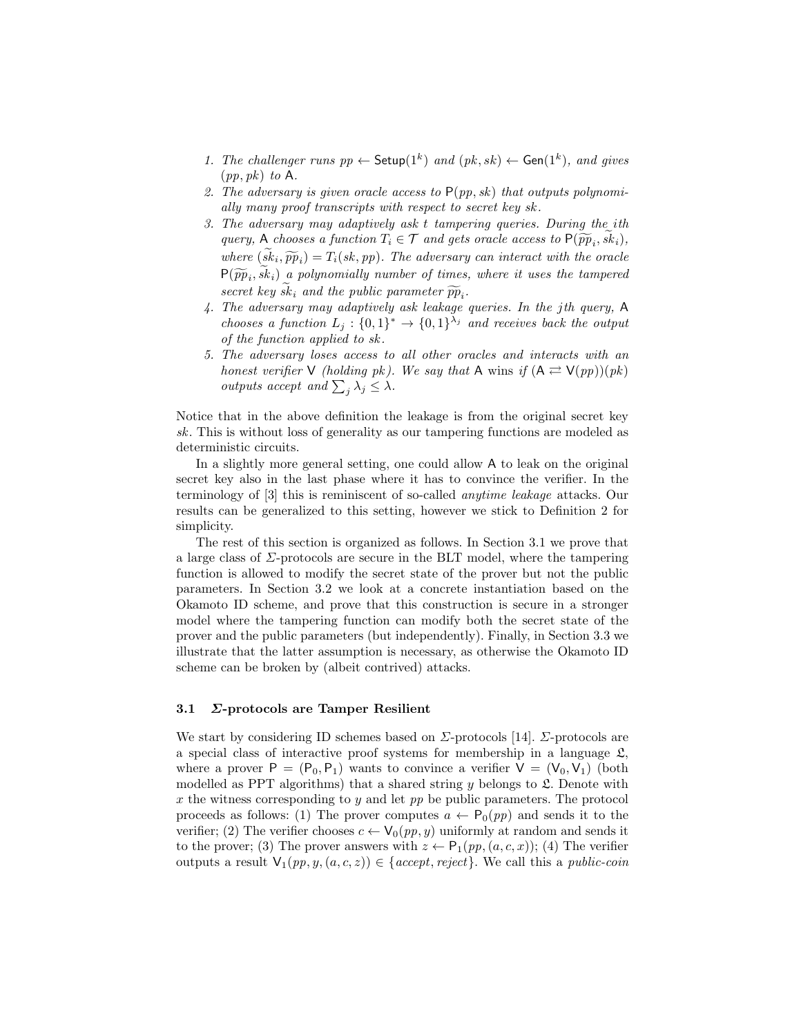- 1. The challenger runs  $pp \leftarrow \mathsf{Setup}(1^k)$  and  $(pk, sk) \leftarrow \mathsf{Gen}(1^k)$ , and gives  $(pp, pk) to A.$
- 2. The adversary is given oracle access to  $P(pp, sk)$  that outputs polynomially many proof transcripts with respect to secret key sk .
- 3. The adversary may adaptively ask t tampering queries. During the ith query, A chooses a function  $T_i \in \mathcal{T}$  and gets oracle access to  $P(\widetilde{pp}_i, sk_i)$ ,<br>where  $(\widetilde{A}, \widetilde{\infty})$ ,  $T(k,m)$ ,  $T(k,j)$  is a decrease on interest with the small where  $(s_k, \widetilde{p}\widetilde{p}_i) = T_i(s_k, pp)$ . The adversary can interact with the oracle  $P(\widetilde{pp}_i, sk_i)$  a polynomially number of times, where it uses the tampered<br>count less  $\widetilde{p}_i$  and the welling secure to  $\widetilde{q}_i$ secret key sk<sub>i</sub> and the public parameter  $\widetilde{pp}_i$ .<br>The adversary may adoptively sek-leakage.
- 4. The adversary may adaptively ask leakage queries. In the jth query, A chooses a function  $L_j: \{0,1\}^* \to \{0,1\}^{\lambda_j}$  and receives back the output of the function applied to sk .
- 5. The adversary loses access to all other oracles and interacts with an honest verifier V (holding pk). We say that A wins if  $(A \rightleftarrows V(pp))(pk)$ *outputs accept and*  $\sum_j \lambda_j \leq \lambda$ .

Notice that in the above definition the leakage is from the original secret key sk. This is without loss of generality as our tampering functions are modeled as deterministic circuits.

In a slightly more general setting, one could allow A to leak on the original secret key also in the last phase where it has to convince the verifier. In the terminology of [3] this is reminiscent of so-called anytime leakage attacks. Our results can be generalized to this setting, however we stick to Definition 2 for simplicity.

The rest of this section is organized as follows. In Section 3.1 we prove that a large class of Σ-protocols are secure in the BLT model, where the tampering function is allowed to modify the secret state of the prover but not the public parameters. In Section 3.2 we look at a concrete instantiation based on the Okamoto ID scheme, and prove that this construction is secure in a stronger model where the tampering function can modify both the secret state of the prover and the public parameters (but independently). Finally, in Section 3.3 we illustrate that the latter assumption is necessary, as otherwise the Okamoto ID scheme can be broken by (albeit contrived) attacks.

## 3.1 Σ-protocols are Tamper Resilient

We start by considering ID schemes based on  $\Sigma$ -protocols [14].  $\Sigma$ -protocols are a special class of interactive proof systems for membership in a language  $\mathfrak{L}$ , where a prover  $P = (P_0, P_1)$  wants to convince a verifier  $V = (V_0, V_1)$  (both modelled as PPT algorithms) that a shared string  $y$  belongs to  $\mathfrak{L}$ . Denote with x the witness corresponding to y and let  $pp$  be public parameters. The protocol proceeds as follows: (1) The prover computes  $a \leftarrow P_0(pp)$  and sends it to the verifier; (2) The verifier chooses  $c \leftarrow V_0(pp, y)$  uniformly at random and sends it to the prover; (3) The prover answers with  $z \leftarrow P_1(pp,(a,c,x))$ ; (4) The verifier outputs a result  $\mathsf{V}_1(p_p,y,(a,c,z)) \in \{accept, reject\}$ . We call this a *public-coin*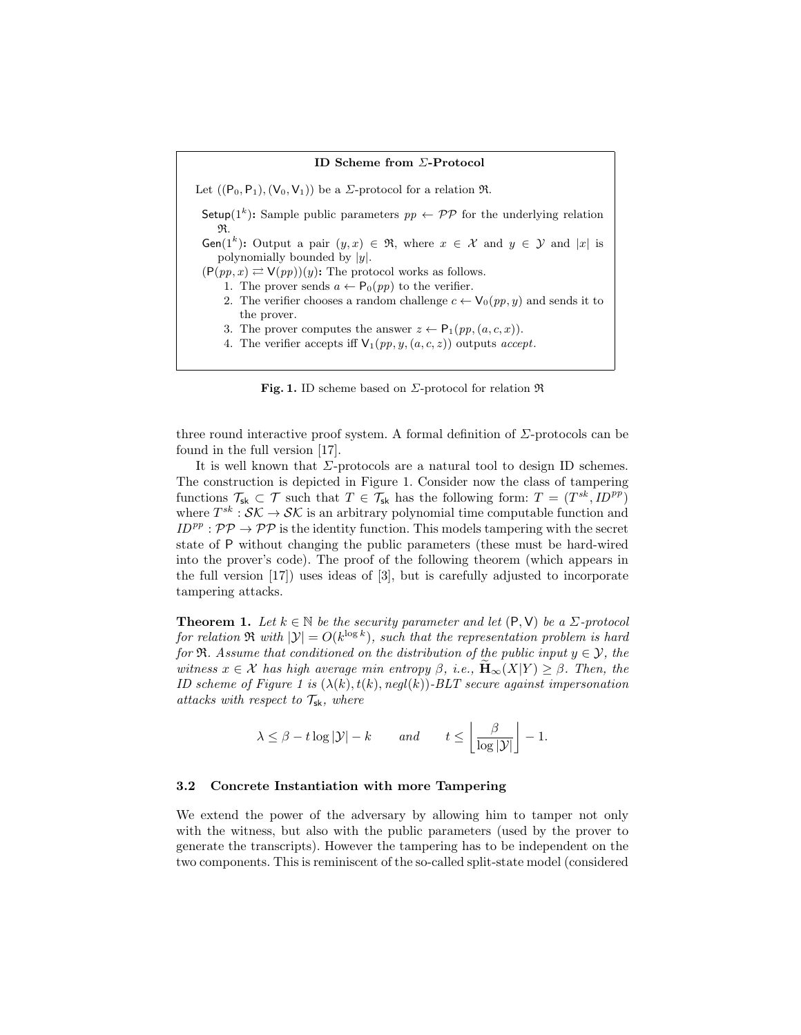#### ID Scheme from Σ-Protocol

Let  $((P_0, P_1), (V_0, V_1))$  be a *Σ*-protocol for a relation *R*.

Setup( $1^k$ ): Sample public parameters  $pp \leftarrow PP$  for the underlying relation R.

Gen(1<sup>k</sup>): Output a pair  $(y, x) \in \mathfrak{R}$ , where  $x \in \mathcal{X}$  and  $y \in \mathcal{Y}$  and |x| is polynomially bounded by  $|y|$ .

 $(P(pp, x) \rightleftarrows V(pp))(y)$ : The protocol works as follows.

- 1. The prover sends  $a \leftarrow P_0(pp)$  to the verifier.
- 2. The verifier chooses a random challenge  $c \leftarrow V_0(pp, y)$  and sends it to the prover.
- 3. The prover computes the answer  $z \leftarrow P_1(pp,(a,c,x))$ .
- 4. The verifier accepts iff  $V_1(pp, y, (a, c, z))$  outputs accept.

Fig. 1. ID scheme based on  $\Sigma$ -protocol for relation  $\Re$ 

three round interactive proof system. A formal definition of  $\Sigma$ -protocols can be found in the full version [17].

It is well known that  $\Sigma$ -protocols are a natural tool to design ID schemes. The construction is depicted in Figure 1. Consider now the class of tampering functions  $\mathcal{T}_{sk} \subset \mathcal{T}$  such that  $T \in \mathcal{T}_{sk}$  has the following form:  $T = (T^{sk}, ID^{pp})$ where  $T^{sk}: \mathcal{SK} \to \mathcal{SK}$  is an arbitrary polynomial time computable function and  $ID^{pp}$ :  $PP \rightarrow PP$  is the identity function. This models tampering with the secret state of P without changing the public parameters (these must be hard-wired into the prover's code). The proof of the following theorem (which appears in the full version [17]) uses ideas of [3], but is carefully adjusted to incorporate tampering attacks.

**Theorem 1.** Let  $k \in \mathbb{N}$  be the security parameter and let  $(P, V)$  be a  $\Sigma$ -protocol for relation  $\Re$  with  $|\mathcal{Y}| = O(k^{\log k})$ , such that the representation problem is hard for R. Assume that conditioned on the distribution of the public input  $y \in \mathcal{Y}$ , the witness  $x \in \mathcal{X}$  has high average min entropy  $\beta$ , i.e.,  $\mathbf{H}_{\infty}(X|Y) \geq \beta$ . Then, the ID scheme of Figure 1 is  $(\lambda(k), t(k), \text{negl}(k))$ -BLT secure against impersonation attacks with respect to  $\mathcal{T}_{sk}$ , where

$$
\lambda \leq \beta - t \log |\mathcal{Y}| - k \qquad and \qquad t \leq \left| \frac{\beta}{\log |\mathcal{Y}|} \right| - 1.
$$

#### 3.2 Concrete Instantiation with more Tampering

We extend the power of the adversary by allowing him to tamper not only with the witness, but also with the public parameters (used by the prover to generate the transcripts). However the tampering has to be independent on the two components. This is reminiscent of the so-called split-state model (considered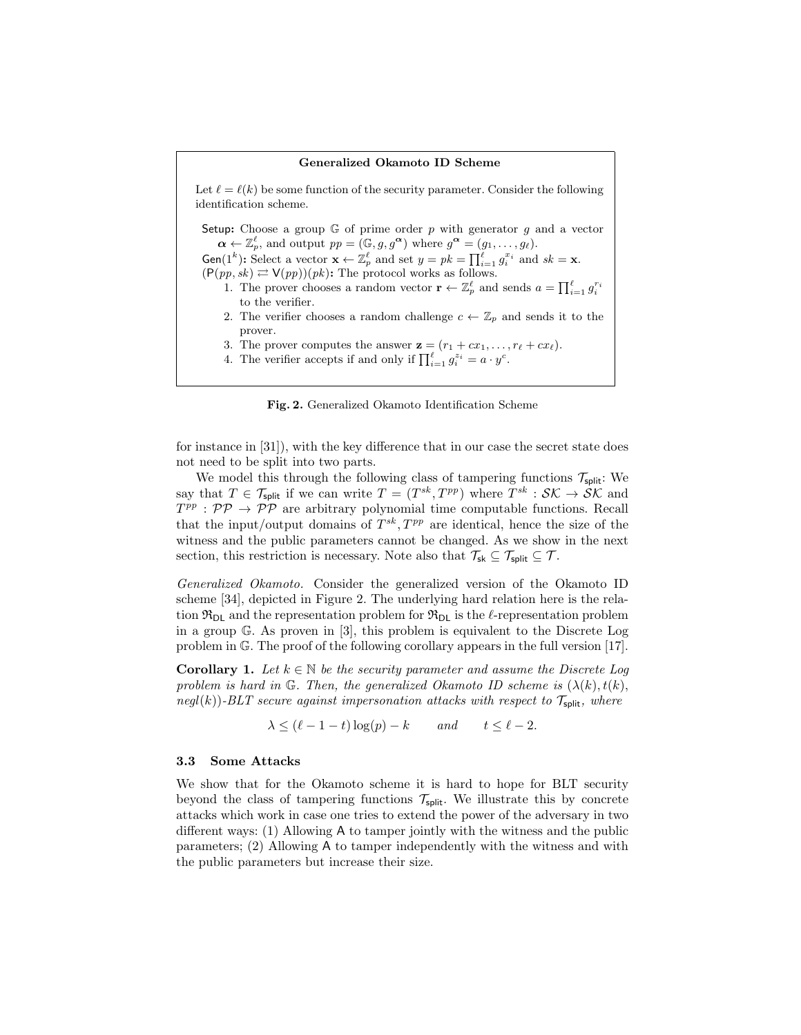#### Generalized Okamoto ID Scheme

Let  $\ell = \ell(k)$  be some function of the security parameter. Consider the following identification scheme.

Setup: Choose a group  $G$  of prime order p with generator q and a vector  $\boldsymbol{\alpha} \leftarrow \mathbb{Z}_p^{\ell}$ , and output  $pp = (\mathbb{G}, g, g^{\boldsymbol{\alpha}})$  where  $g^{\boldsymbol{\alpha}} = (g_1, \ldots, g_{\ell}).$ 

Gen(1<sup>k</sup>): Select a vector  $\mathbf{x} \leftarrow \mathbb{Z}_p^{\ell}$  and set  $y = pk = \prod_{i=1}^{\ell} g_i^{x_i}$  and  $sk = \mathbf{x}$ .  $(P(pp, sk) \rightleftarrows V(pp))(pk)$ : The protocol works as follows.

- 1. The prover chooses a random vector  $\mathbf{r} \leftarrow \mathbb{Z}_p^{\ell}$  and sends  $a = \prod_{i=1}^{\ell} g_i^{r_i}$ to the verifier.
- 2. The verifier chooses a random challenge  $c \leftarrow \mathbb{Z}_p$  and sends it to the prover.
- 3. The prover computes the answer  $\mathbf{z} = (r_1 + cx_1, \dots, r_\ell + cx_\ell).$
- 4. The verifier accepts if and only if  $\prod_{i=1}^{\ell} g_i^{z_i} = a \cdot y^c$ .

Fig. 2. Generalized Okamoto Identification Scheme

for instance in [31]), with the key difference that in our case the secret state does not need to be split into two parts.

We model this through the following class of tampering functions  $\mathcal{T}_{split}$ : We say that  $T \in \mathcal{T}_{\text{split}}$  if we can write  $T = (T^{sk}, T^{pp})$  where  $T^{sk} : \mathcal{SK} \to \mathcal{SK}$  and  $T^{pp}$ :  $\mathcal{PP} \rightarrow \mathcal{PP}$  are arbitrary polynomial time computable functions. Recall that the input/output domains of  $T^{sk}$ ,  $T^{pp}$  are identical, hence the size of the witness and the public parameters cannot be changed. As we show in the next section, this restriction is necessary. Note also that  $\mathcal{T}_{\mathsf{sk}} \subseteq \mathcal{T}_{\mathsf{split}} \subseteq \mathcal{T}$ .

Generalized Okamoto. Consider the generalized version of the Okamoto ID scheme [34], depicted in Figure 2. The underlying hard relation here is the relation  $\mathfrak{R}_{DL}$  and the representation problem for  $\mathfrak{R}_{DL}$  is the  $\ell$ -representation problem in a group G. As proven in [3], this problem is equivalent to the Discrete Log problem in G. The proof of the following corollary appears in the full version [17].

**Corollary 1.** Let  $k \in \mathbb{N}$  be the security parameter and assume the Discrete Log problem is hard in G. Then, the generalized Okamoto ID scheme is  $(\lambda(k), t(k))$ ,  $negl(k)$ )-BLT secure against impersonation attacks with respect to  $\mathcal{T}_{\text{split}}$ , where

 $\lambda \leq (\ell - 1 - t) \log(p) - k$  and  $t \leq \ell - 2$ .

#### 3.3 Some Attacks

We show that for the Okamoto scheme it is hard to hope for BLT security beyond the class of tampering functions  $\mathcal{T}_{split}$ . We illustrate this by concrete attacks which work in case one tries to extend the power of the adversary in two different ways: (1) Allowing A to tamper jointly with the witness and the public parameters; (2) Allowing A to tamper independently with the witness and with the public parameters but increase their size.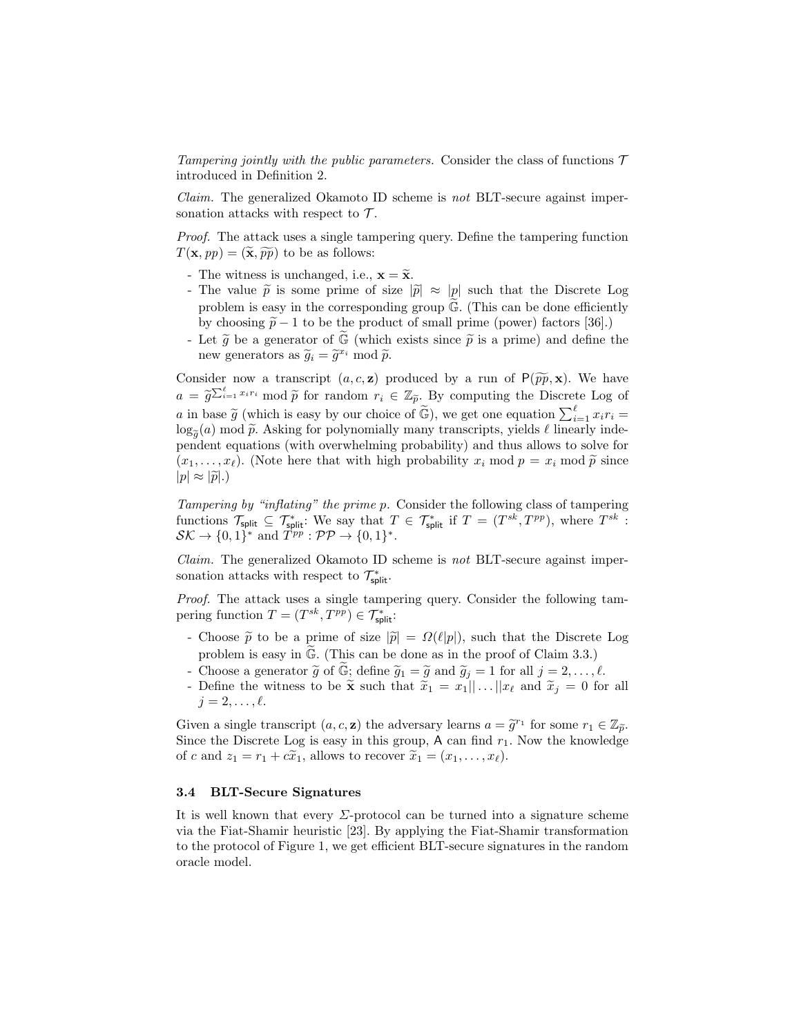Tampering jointly with the public parameters. Consider the class of functions  $\mathcal T$ introduced in Definition 2.

Claim. The generalized Okamoto ID scheme is not BLT-secure against impersonation attacks with respect to  $\mathcal{T}$ .

Proof. The attack uses a single tampering query. Define the tampering function  $T(\mathbf{x}, pp) = (\widetilde{\mathbf{x}}, \widetilde{pp})$  to be as follows:

- The witness is unchanged, i.e.,  $\mathbf{x} = \tilde{\mathbf{x}}$ .
- The value  $\tilde{p}$  is some prime of size  $|\tilde{p}| \approx |p|$  such that the Discrete Log problem is easy in the corresponding group  $\mathbb{G}$ . (This can be done efficiently by choosing  $\tilde{p}$  − 1 to be the product of small prime (power) factors [36].)
- Let  $\tilde{g}$  be a generator of G (which exists since  $\tilde{p}$  is a prime) and define the new generators as  $\widetilde{g}_i = \widetilde{g}^{x_i} \text{ mod } \widetilde{p}.$

Consider now a transcript  $(a, c, z)$  produced by a run of  $P(\widetilde{pp}, x)$ . We have  $a = \tilde{g}^{\sum_{i=1}^{\ell} x_i r_i}$  mod  $\tilde{p}$  for random  $r_i \in \mathbb{Z}_{\tilde{p}}$ . By computing the Discrete Log of a in base  $\tilde{g}$  (which is easy by our choice of  $\tilde{\mathbb{G}}$ ), we get one equation  $\sum_{i=1}^{\ell} x_i r_i =$ <br>log (a) mod  $\tilde{x}$ , Asking for polynomially many transcripts, yields  $\ell$  linearly inde  $\log_{\widetilde{g}}(a)$  mod  $\widetilde{p}$ . Asking for polynomially many transcripts, yields  $\ell$  linearly inde-<br>pondont countings (with everywhelming probability) and thus allows to solve for pendent equations (with overwhelming probability) and thus allows to solve for  $(x_1, \ldots, x_\ell)$ . (Note here that with high probability  $x_i \mod p = x_i \mod \tilde{p}$  since  $|p| \approx |\widetilde{p}|.$ 

Tampering by "inflating" the prime p. Consider the following class of tampering functions  $\mathcal{T}_{split} \subseteq \mathcal{T}_{split}^*$ : We say that  $T \in \mathcal{T}_{split}^*$  if  $T = (T^{sk}, T^{pp})$ , where  $T^{sk}$ :  $\mathcal{SK} \to \{0,1\}^*$  and  $T^{pp} : \mathcal{PP} \to \{0,1\}^*.$ 

Claim. The generalized Okamoto ID scheme is not BLT-secure against impersonation attacks with respect to  $\mathcal{T}_{\text{split}}^*$ .

Proof. The attack uses a single tampering query. Consider the following tampering function  $T = (T^{sk}, T^{pp}) \in \mathcal{T}_{split}^*$ :

- Choose  $\tilde{p}$  to be a prime of size  $|\tilde{p}| = \Omega(\ell|p|)$ , such that the Discrete Log problem is easy in  $\mathbb{G}$ . (This can be done as in the proof of Claim 3.3.)
- Choose a generator  $\tilde{g}$  of  $\tilde{\mathbb{G}}$ ; define  $\tilde{g}_1 = \tilde{g}$  and  $\tilde{g}_j = 1$  for all  $j = 2, \ldots, \ell$ .
- Define the witness to be  $\tilde{\mathbf{x}}$  such that  $\tilde{x}_1 = x_1 || \dots || x_\ell$  and  $\tilde{x}_j = 0$  for all  $j = 2, \ldots, \ell$ .

Given a single transcript  $(a, c, z)$  the adversary learns  $a = \tilde{g}^{r_1}$  for some  $r_1 \in \mathbb{Z}_{\tilde{p}}$ .<br>Since the Discrete Log is good in this group  $\Lambda$  can find  $r_n$ . Now the knowledge Since the Discrete Log is easy in this group,  $A$  can find  $r_1$ . Now the knowledge of c and  $z_1 = r_1 + c\tilde{x}_1$ , allows to recover  $\tilde{x}_1 = (x_1, \ldots, x_\ell)$ .

## 3.4 BLT-Secure Signatures

It is well known that every  $\Sigma$ -protocol can be turned into a signature scheme via the Fiat-Shamir heuristic [23]. By applying the Fiat-Shamir transformation to the protocol of Figure 1, we get efficient BLT-secure signatures in the random oracle model.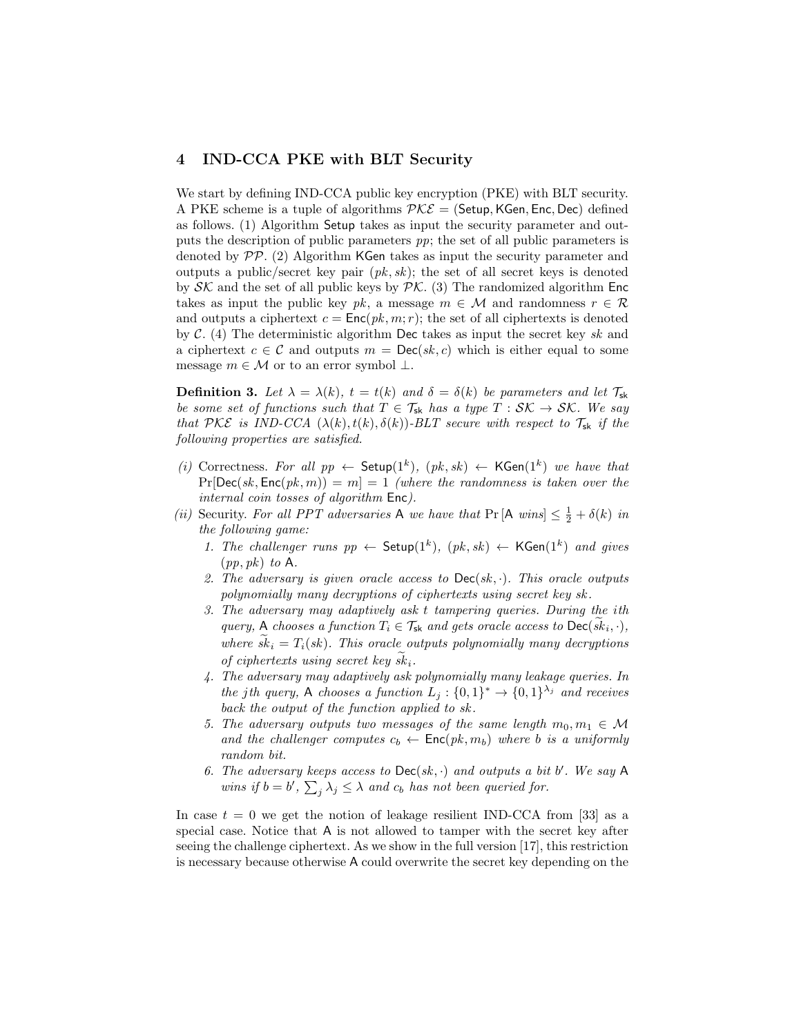# 4 IND-CCA PKE with BLT Security

We start by defining IND-CCA public key encryption (PKE) with BLT security. A PKE scheme is a tuple of algorithms  $PKE = (Setup, KGen, Enc, Dec)$  defined as follows. (1) Algorithm Setup takes as input the security parameter and outputs the description of public parameters pp; the set of all public parameters is denoted by PP. (2) Algorithm KGen takes as input the security parameter and outputs a public/secret key pair  $(pk, sk)$ ; the set of all secret keys is denoted by  $\mathcal{SK}$  and the set of all public keys by  $\mathcal{PK}$ . (3) The randomized algorithm Enc takes as input the public key pk, a message  $m \in \mathcal{M}$  and randomness  $r \in \mathcal{R}$ and outputs a ciphertext  $c = \text{Enc}(pk, m; r)$ ; the set of all ciphertexts is denoted by  $\mathcal{C}$ . (4) The deterministic algorithm Dec takes as input the secret key sk and a ciphertext  $c \in \mathcal{C}$  and outputs  $m = \text{Dec}(sk, c)$  which is either equal to some message  $m \in \mathcal{M}$  or to an error symbol  $\perp$ .

**Definition 3.** Let  $\lambda = \lambda(k)$ ,  $t = t(k)$  and  $\delta = \delta(k)$  be parameters and let  $\mathcal{T}_{sk}$ be some set of functions such that  $T \in \mathcal{T}_{sk}$  has a type  $T : \mathcal{SK} \to \mathcal{SK}$ . We say that PKE is IND-CCA  $(\lambda(k), t(k), \delta(k))$ -BLT secure with respect to  $\mathcal{T}_{sk}$  if the following properties are satisfied.

- (i) Correctness. For all  $pp \leftarrow$  Setup(1k),  $(pk, sk) \leftarrow$  KGen(1k) we have that  $Pr[Dec(sk, Enc(pk, m)] = m] = 1$  (where the randomness is taken over the internal coin tosses of algorithm Enc).
- (*ii*) Security. For all PPT adversaries A we have that  $Pr[A \text{ wins}] \leq \frac{1}{2} + \delta(k)$  in the following game:
	- 1. The challenger runs  $pp \leftarrow$  Setup $(1^k)$ ,  $(pk, sk) \leftarrow$  KGen $(1^k)$  and gives  $(pp, pk)$  to A.
	- 2. The adversary is given oracle access to  $Dec(s_k, \cdot)$ . This oracle outputs polynomially many decryptions of ciphertexts using secret key sk .
	- 3. The adversary may adaptively ask t tampering queries. During the ith query, A chooses a function  $T_i \in \mathcal{T}_{sk}$  and gets oracle access to  $\text{Dec}(sk_i, \cdot)$ , where  $sk_i = T_i(sk)$ . This oracle outputs polynomially many decryptions of ciphertexts using secret key  $s\vec{k}_i$ .
	- 4. The adversary may adaptively ask polynomially many leakage queries. In the jth query, A chooses a function  $L_j : \{0,1\}^* \to \{0,1\}^{\lambda_j}$  and receives back the output of the function applied to sk .
	- 5. The adversary outputs two messages of the same length  $m_0, m_1 \in \mathcal{M}$ and the challenger computes  $c_b \leftarrow \text{Enc}(pk, m_b)$  where b is a uniformly random bit.
	- 6. The adversary keeps access to  $Dec(sk, \cdot)$  and outputs a bit b'. We say A wins if  $b = b'$ ,  $\sum_j \lambda_j \leq \lambda$  and  $c_b$  has not been queried for.

In case  $t = 0$  we get the notion of leakage resilient IND-CCA from [33] as a special case. Notice that A is not allowed to tamper with the secret key after seeing the challenge ciphertext. As we show in the full version [17], this restriction is necessary because otherwise A could overwrite the secret key depending on the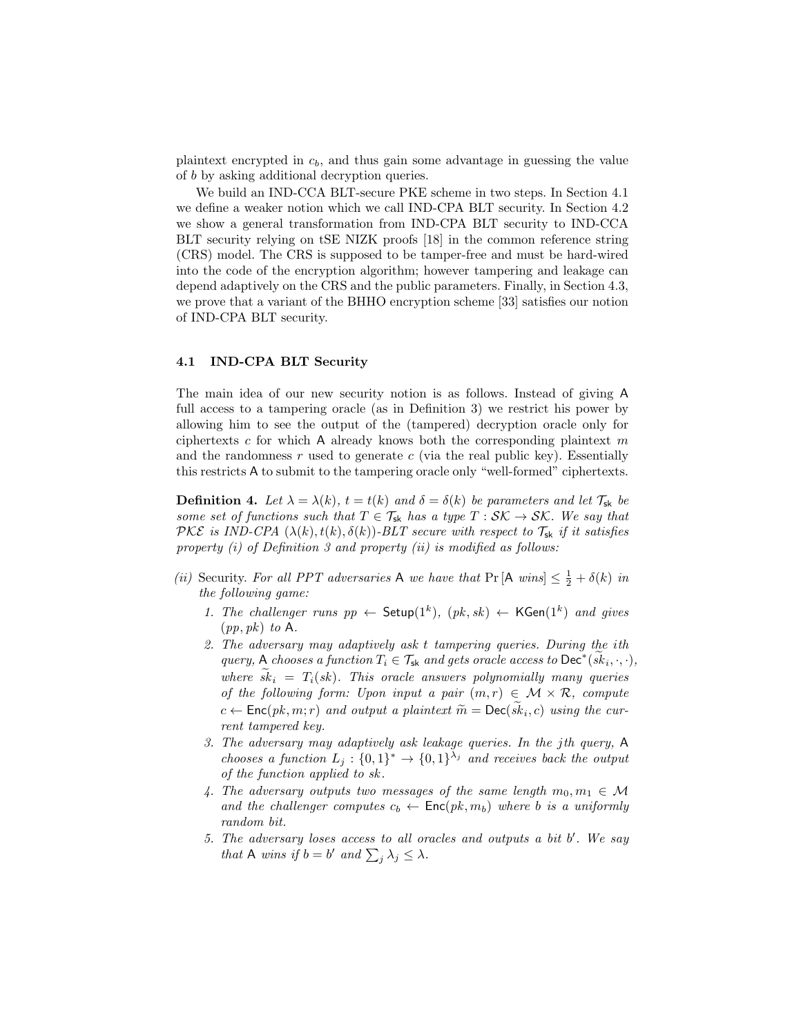plaintext encrypted in  $c<sub>b</sub>$ , and thus gain some advantage in guessing the value of b by asking additional decryption queries.

We build an IND-CCA BLT-secure PKE scheme in two steps. In Section 4.1 we define a weaker notion which we call IND-CPA BLT security. In Section 4.2 we show a general transformation from IND-CPA BLT security to IND-CCA BLT security relying on tSE NIZK proofs [18] in the common reference string (CRS) model. The CRS is supposed to be tamper-free and must be hard-wired into the code of the encryption algorithm; however tampering and leakage can depend adaptively on the CRS and the public parameters. Finally, in Section 4.3, we prove that a variant of the BHHO encryption scheme [33] satisfies our notion of IND-CPA BLT security.

## 4.1 IND-CPA BLT Security

The main idea of our new security notion is as follows. Instead of giving A full access to a tampering oracle (as in Definition 3) we restrict his power by allowing him to see the output of the (tampered) decryption oracle only for ciphertexts c for which A already knows both the corresponding plaintext  $m$ and the randomness r used to generate c (via the real public key). Essentially this restricts A to submit to the tampering oracle only "well-formed" ciphertexts.

**Definition 4.** Let  $\lambda = \lambda(k)$ ,  $t = t(k)$  and  $\delta = \delta(k)$  be parameters and let  $\mathcal{T}_{sk}$  be some set of functions such that  $T \in \mathcal{T}_{sk}$  has a type  $T : \mathcal{SK} \to \mathcal{SK}$ . We say that PKE is IND-CPA  $(\lambda(k), t(k), \delta(k))$ -BLT secure with respect to  $\mathcal{T}_{sk}$  if it satisfies property  $(i)$  of Definition 3 and property  $(ii)$  is modified as follows:

- (*ii*) Security. For all PPT adversaries A we have that  $Pr[A \text{ wins}] \leq \frac{1}{2} + \delta(k)$  in the following game:
	- 1. The challenger runs  $pp \leftarrow$  Setup $(1^k)$ ,  $(pk, sk) \leftarrow$  KGen $(1^k)$  and gives  $(pp, pk) to A.$
	- 2. The adversary may adaptively ask t tampering queries. During the ith query, A chooses a function  $T_i \in \mathcal{T}_{sk}$  and gets oracle access to  $\mathsf{Dec}^*(\widetilde{sk}_i, \cdot, \cdot)$ , where  $\widetilde{sk}_i = T_i(sk)$ . This oracle answers polynomially many queries of the following form: Upon input a pair  $(m, r) \in \mathcal{M} \times \mathcal{R}$ , compute  $c \leftarrow \text{Enc}(pk, m; r)$  and output a plaintext  $\widetilde{m} = \text{Dec}(sk_i, c)$  using the cur-<br>rent tampered key rent tampered key.
	- 3. The adversary may adaptively ask leakage queries. In the jth query, A chooses a function  $L_j: \{0,1\}^* \to \{0,1\}^{\lambda_j}$  and receives back the output of the function applied to sk .
	- 4. The adversary outputs two messages of the same length  $m_0, m_1 \in \mathcal{M}$ and the challenger computes  $c_b \leftarrow \mathsf{Enc}(pk, m_b)$  where b is a uniformly random bit.
	- 5. The adversary loses access to all oracles and outputs a bit  $b'$ . We say that A wins if  $b = b'$  and  $\sum_j \lambda_j \leq \lambda$ .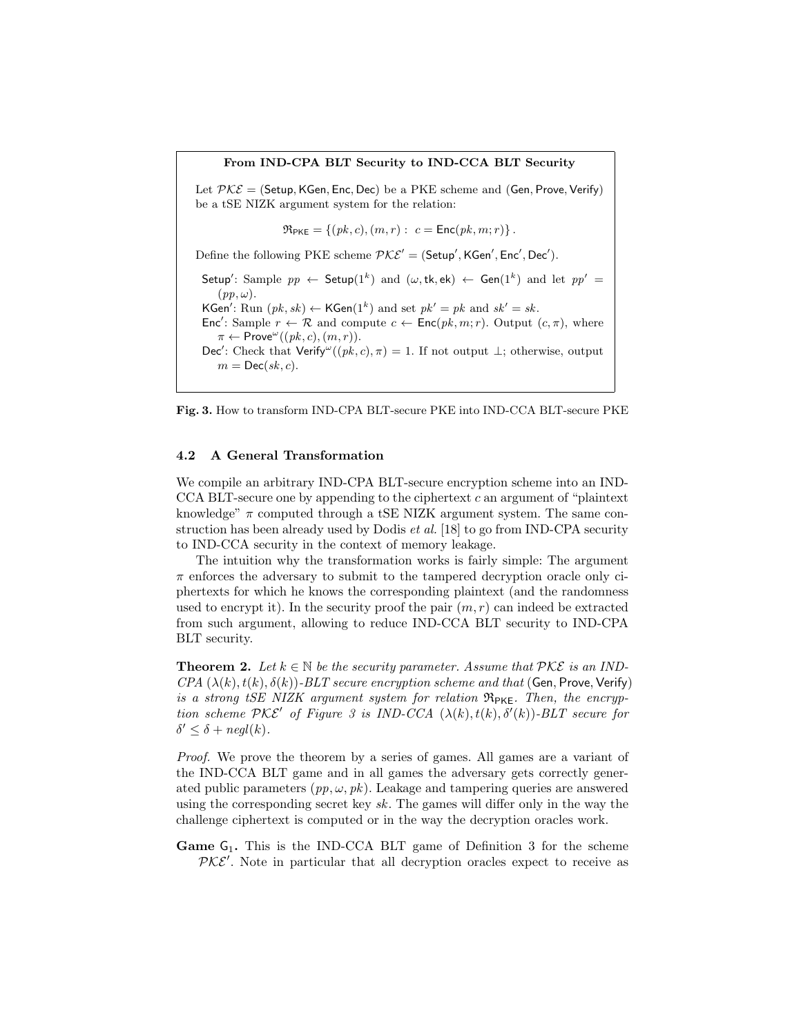#### From IND-CPA BLT Security to IND-CCA BLT Security

Let  $PKE =$  (Setup, KGen, Enc, Dec) be a PKE scheme and (Gen, Prove, Verify) be a tSE NIZK argument system for the relation:

 $\mathfrak{R}_{\mathsf{PKE}} = \{(pk, c), (m, r): c = \mathsf{Enc}(pk, m; r)\}.$ 

Define the following PKE scheme  $\mathcal{PKE}' = (\mathsf{Setup}'', \mathsf{KGen}', \mathsf{Enc}', \mathsf{Dec}')$ .

Setup': Sample  $pp \leftarrow$  Setup(1<sup>k</sup>) and ( $\omega$ , tk, ek)  $\leftarrow$  Gen(1<sup>k</sup>) and let  $pp' =$  $(pp, \omega)$ . KGen': Run  $(pk, sk) \leftarrow$  KGen $(1^k)$  and set  $pk' = pk$  and  $sk' = sk$ . Enc': Sample  $r \leftarrow \mathcal{R}$  and compute  $c \leftarrow \mathsf{Enc}(pk, m; r)$ . Output  $(c, \pi)$ , where  $\pi \leftarrow \text{Prove}^{\omega}((pk, c), (m, r)).$ Dec': Check that Verify<sup>ω</sup> $((pk, c), \pi) = 1$ . If not output  $\perp$ ; otherwise, output  $m = \mathsf{Dec}(sk, c).$ 

Fig. 3. How to transform IND-CPA BLT-secure PKE into IND-CCA BLT-secure PKE

## 4.2 A General Transformation

We compile an arbitrary IND-CPA BLT-secure encryption scheme into an IND-CCA BLT-secure one by appending to the ciphertext  $c$  an argument of "plaintext" knowledge"  $\pi$  computed through a tSE NIZK argument system. The same construction has been already used by Dodis *et al.* [18] to go from IND-CPA security to IND-CCA security in the context of memory leakage.

The intuition why the transformation works is fairly simple: The argument  $\pi$  enforces the adversary to submit to the tampered decryption oracle only ciphertexts for which he knows the corresponding plaintext (and the randomness used to encrypt it). In the security proof the pair  $(m, r)$  can indeed be extracted from such argument, allowing to reduce IND-CCA BLT security to IND-CPA BLT security.

**Theorem 2.** Let  $k \in \mathbb{N}$  be the security parameter. Assume that  $\mathcal{PKE}$  is an IND- $CPA (\lambda(k), t(k), \delta(k))$ -BLT secure encryption scheme and that (Gen, Prove, Verify) is a strong tSE NIZK argument system for relation  $\mathfrak{R}_{\text{PKE}}$ . Then, the encryption scheme  $\mathcal{PKE}'$  of Figure 3 is IND-CCA  $(\lambda(k), t(k), \delta'(k))$ -BLT secure for  $\delta' \leq \delta + \mathit{negl}(k)$ .

Proof. We prove the theorem by a series of games. All games are a variant of the IND-CCA BLT game and in all games the adversary gets correctly generated public parameters  $(pp, \omega, pk)$ . Leakage and tampering queries are answered using the corresponding secret key sk. The games will differ only in the way the challenge ciphertext is computed or in the way the decryption oracles work.

**Game**  $G_1$ **.** This is the IND-CCA BLT game of Definition 3 for the scheme  $PKE'$ . Note in particular that all decryption oracles expect to receive as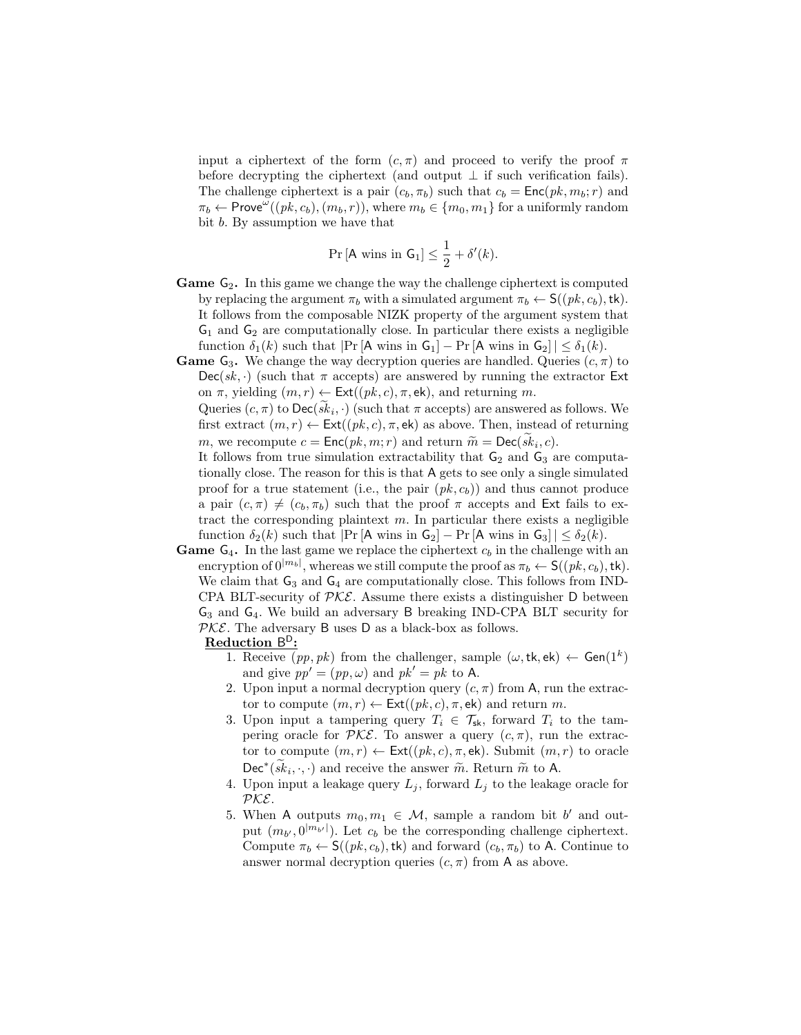input a ciphertext of the form  $(c, \pi)$  and proceed to verify the proof  $\pi$ before decrypting the ciphertext (and output  $\perp$  if such verification fails). The challenge ciphertext is a pair  $(c_b, \pi_b)$  such that  $c_b = \text{Enc}(pk, m_b; r)$  and  $\pi_b \leftarrow \mathsf{Prove}^{\omega}((pk, c_b), (m_b, r)),$  where  $m_b \in \{m_0, m_1\}$  for a uniformly random bit b. By assumption we have that

$$
\Pr\left[\mathsf{A} \text{ wins in } \mathsf{G}_1\right] \leq \frac{1}{2} + \delta'(k).
$$

- Game  $G_2$ . In this game we change the way the challenge ciphertext is computed by replacing the argument  $\pi_b$  with a simulated argument  $\pi_b \leftarrow S((pk, c_b), t_k)$ . It follows from the composable NIZK property of the argument system that  $G_1$  and  $G_2$  are computationally close. In particular there exists a negligible function  $\delta_1(k)$  such that  $|\Pr[\mathsf{A} \text{ wins in } \mathsf{G}_1] - \Pr[\mathsf{A} \text{ wins in } \mathsf{G}_2]| \leq \delta_1(k)$ .
- **Game** G<sub>3</sub>. We change the way decryption queries are handled. Queries  $(c, \pi)$  to  $Dec(sk, \cdot)$  (such that  $\pi$  accepts) are answered by running the extractor Ext on  $\pi$ , yielding  $(m, r) \leftarrow \text{Ext}((pk, c), \pi, \text{ek})$ , and returning m.
	- Queries  $(c, \pi)$  to  $\mathsf{Dec}(sk_i, \cdot)$  (such that  $\pi$  accepts) are answered as follows. We first extract  $(m, r) \leftarrow \text{Ext}((pk, c), \pi, \text{ek})$  as above. Then, instead of returning m, we recompute  $c = \text{Enc}(pk, m; r)$  and return  $\widetilde{m} = \text{Dec}(sk_i, c)$ .<br>It follows from true simulation extractability that  $G_2$  and  $G_3$ .

It follows from true simulation extractability that  $G_2$  and  $G_3$  are computationally close. The reason for this is that A gets to see only a single simulated proof for a true statement (i.e., the pair  $(pk, c_b)$ ) and thus cannot produce a pair  $(c, \pi) \neq (c_b, \pi_b)$  such that the proof  $\pi$  accepts and Ext fails to extract the corresponding plaintext  $m$ . In particular there exists a negligible function  $\delta_2(k)$  such that  $|\Pr[\mathsf{A} \text{ wins in } \mathsf{G}_2] - \Pr[\mathsf{A} \text{ wins in } \mathsf{G}_3]| \leq \delta_2(k)$ .

**Game**  $G_4$ . In the last game we replace the ciphertext  $c_b$  in the challenge with an encryption of  $0^{|m_b|}$ , whereas we still compute the proof as  $\pi_b \leftarrow S((pk, c_b), \text{tk}).$ We claim that  $G_3$  and  $G_4$  are computationally close. This follows from IND-CPA BLT-security of  $PKE$ . Assume there exists a distinguisher D between G<sup>3</sup> and G4. We build an adversary B breaking IND-CPA BLT security for  $PKE$ . The adversary B uses D as a black-box as follows.

# Reduction B<sup>D</sup>:

- 1. Receive  $(pp, pk)$  from the challenger, sample  $(\omega, tk, ek) \leftarrow Gen(1^k)$ and give  $pp' = (pp, \omega)$  and  $pk' = pk$  to A.
- 2. Upon input a normal decryption query  $(c, \pi)$  from A, run the extractor to compute  $(m, r) \leftarrow \text{Ext}((pk, c), \pi, \text{ek})$  and return m.
- 3. Upon input a tampering query  $T_i \in \mathcal{T}_{sk}$ , forward  $T_i$  to the tampering oracle for  $\mathcal{PKE}$ . To answer a query  $(c, \pi)$ , run the extractor to compute  $(m, r) \leftarrow \text{Ext}((pk, c), \pi, \text{ek})$ . Submit  $(m, r)$  to oracle  $\text{Dec}^*(\widetilde{sk}_i, \cdot, \cdot)$  and receive the answer  $\widetilde{m}$ . Return  $\widetilde{m}$  to A.<br>Upon input a lookage query  $I_{\cdot}$  forward  $I_{\cdot}$  to the lookage
- 4. Upon input a leakage query  $L_i$ , forward  $L_i$  to the leakage oracle for PKE.
- 5. When A outputs  $m_0, m_1 \in \mathcal{M}$ , sample a random bit b' and output  $(m_{b'}, 0^{|m_{b'}|})$ . Let  $c_b$  be the corresponding challenge ciphertext. Compute  $\pi_b \leftarrow S((pk, c_b), \text{tk})$  and forward  $(c_b, \pi_b)$  to A. Continue to answer normal decryption queries  $(c, \pi)$  from A as above.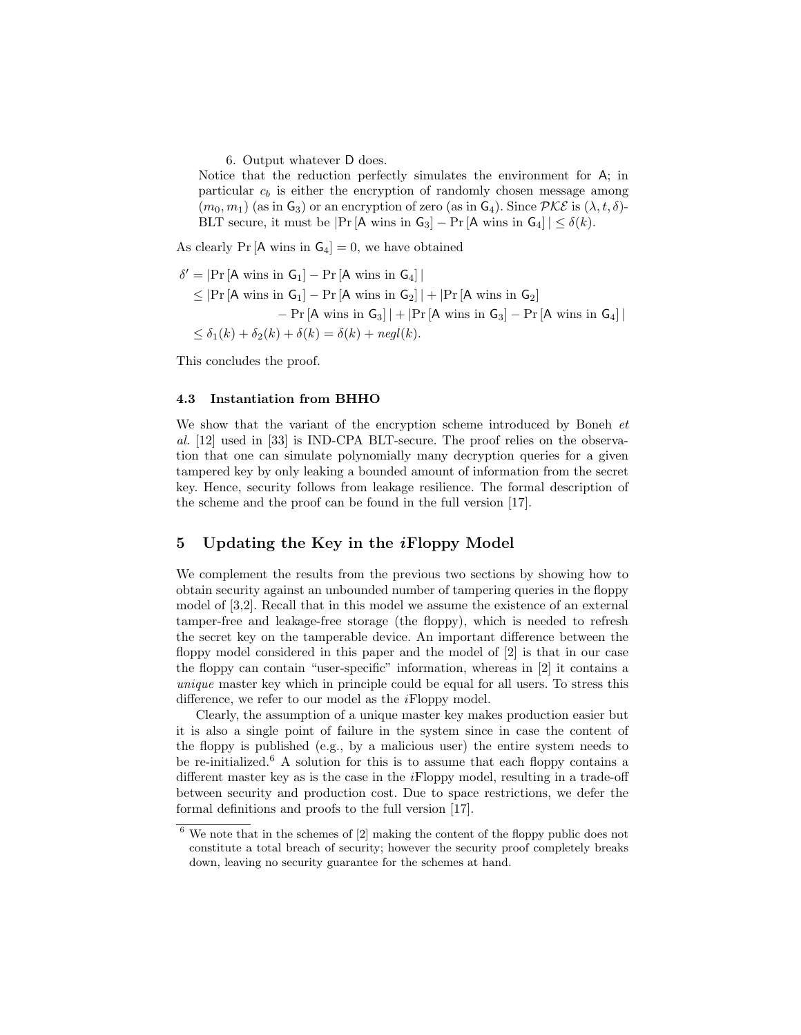6. Output whatever D does.

Notice that the reduction perfectly simulates the environment for A; in particular  $c_b$  is either the encryption of randomly chosen message among  $(m_0, m_1)$  (as in  $\mathsf{G}_3$ ) or an encryption of zero (as in  $\mathsf{G}_4$ ). Since  $\mathcal{PKE}$  is  $(\lambda, t, \delta)$ -BLT secure, it must be  $|\Pr[\text{A wins in } \mathsf{G}_3] - \Pr[\text{A wins in } \mathsf{G}_4]| \leq \delta(k).$ 

As clearly Pr  $[A \text{ wins in } G_4] = 0$ , we have obtained

$$
\delta' = |\Pr[A \text{ wins in } G_1] - \Pr[A \text{ wins in } G_4]|
$$
  
\n
$$
\leq |\Pr[A \text{ wins in } G_1] - \Pr[A \text{ wins in } G_2]| + |\Pr[A \text{ wins in } G_2]|
$$
  
\n
$$
- \Pr[A \text{ wins in } G_3]| + |\Pr[A \text{ wins in } G_3] - \Pr[A \text{ wins in } G_4]|
$$
  
\n
$$
\leq \delta_1(k) + \delta_2(k) + \delta(k) = \delta(k) + \text{negl}(k).
$$

This concludes the proof.

#### 4.3 Instantiation from BHHO

We show that the variant of the encryption scheme introduced by Boneh et al. [12] used in [33] is IND-CPA BLT-secure. The proof relies on the observation that one can simulate polynomially many decryption queries for a given tampered key by only leaking a bounded amount of information from the secret key. Hence, security follows from leakage resilience. The formal description of the scheme and the proof can be found in the full version [17].

# 5 Updating the Key in the  $i$ Floppy Model

We complement the results from the previous two sections by showing how to obtain security against an unbounded number of tampering queries in the floppy model of [3,2]. Recall that in this model we assume the existence of an external tamper-free and leakage-free storage (the floppy), which is needed to refresh the secret key on the tamperable device. An important difference between the floppy model considered in this paper and the model of [2] is that in our case the floppy can contain "user-specific" information, whereas in [2] it contains a unique master key which in principle could be equal for all users. To stress this difference, we refer to our model as the *iFloppy* model.

Clearly, the assumption of a unique master key makes production easier but it is also a single point of failure in the system since in case the content of the floppy is published (e.g., by a malicious user) the entire system needs to be re-initialized.<sup>6</sup> A solution for this is to assume that each floppy contains a different master key as is the case in the iFloppy model, resulting in a trade-off between security and production cost. Due to space restrictions, we defer the formal definitions and proofs to the full version [17].

<sup>6</sup> We note that in the schemes of [2] making the content of the floppy public does not constitute a total breach of security; however the security proof completely breaks down, leaving no security guarantee for the schemes at hand.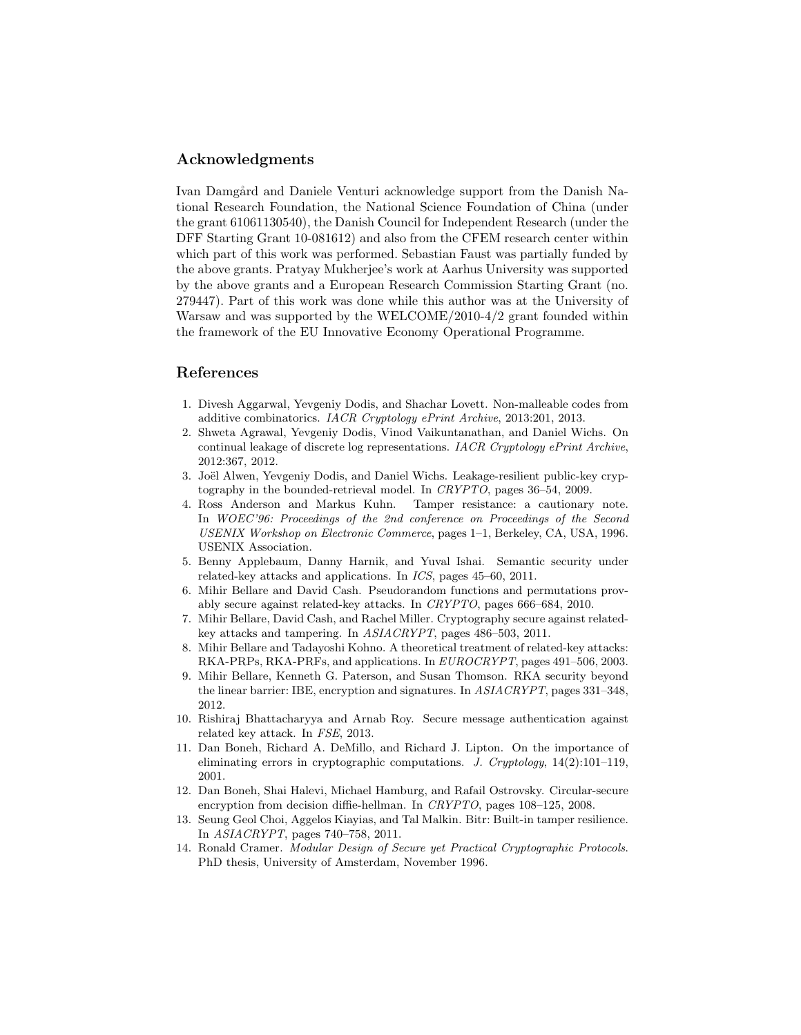# Acknowledgments

Ivan Damgård and Daniele Venturi acknowledge support from the Danish National Research Foundation, the National Science Foundation of China (under the grant 61061130540), the Danish Council for Independent Research (under the DFF Starting Grant 10-081612) and also from the CFEM research center within which part of this work was performed. Sebastian Faust was partially funded by the above grants. Pratyay Mukherjee's work at Aarhus University was supported by the above grants and a European Research Commission Starting Grant (no. 279447). Part of this work was done while this author was at the University of Warsaw and was supported by the WELCOME/2010-4/2 grant founded within the framework of the EU Innovative Economy Operational Programme.

# References

- 1. Divesh Aggarwal, Yevgeniy Dodis, and Shachar Lovett. Non-malleable codes from additive combinatorics. IACR Cryptology ePrint Archive, 2013:201, 2013.
- 2. Shweta Agrawal, Yevgeniy Dodis, Vinod Vaikuntanathan, and Daniel Wichs. On continual leakage of discrete log representations. IACR Cryptology ePrint Archive, 2012:367, 2012.
- 3. Joël Alwen, Yevgeniy Dodis, and Daniel Wichs. Leakage-resilient public-key cryptography in the bounded-retrieval model. In CRYPTO, pages 36–54, 2009.
- 4. Ross Anderson and Markus Kuhn. Tamper resistance: a cautionary note. In WOEC'96: Proceedings of the 2nd conference on Proceedings of the Second USENIX Workshop on Electronic Commerce, pages 1–1, Berkeley, CA, USA, 1996. USENIX Association.
- 5. Benny Applebaum, Danny Harnik, and Yuval Ishai. Semantic security under related-key attacks and applications. In ICS, pages 45–60, 2011.
- 6. Mihir Bellare and David Cash. Pseudorandom functions and permutations provably secure against related-key attacks. In CRYPTO, pages 666–684, 2010.
- 7. Mihir Bellare, David Cash, and Rachel Miller. Cryptography secure against relatedkey attacks and tampering. In ASIACRYPT, pages 486–503, 2011.
- 8. Mihir Bellare and Tadayoshi Kohno. A theoretical treatment of related-key attacks: RKA-PRPs, RKA-PRFs, and applications. In EUROCRYPT, pages 491–506, 2003.
- 9. Mihir Bellare, Kenneth G. Paterson, and Susan Thomson. RKA security beyond the linear barrier: IBE, encryption and signatures. In ASIACRYPT, pages 331–348, 2012.
- 10. Rishiraj Bhattacharyya and Arnab Roy. Secure message authentication against related key attack. In FSE, 2013.
- 11. Dan Boneh, Richard A. DeMillo, and Richard J. Lipton. On the importance of eliminating errors in cryptographic computations. J. Cryptology, 14(2):101–119, 2001.
- 12. Dan Boneh, Shai Halevi, Michael Hamburg, and Rafail Ostrovsky. Circular-secure encryption from decision diffie-hellman. In CRYPTO, pages 108–125, 2008.
- 13. Seung Geol Choi, Aggelos Kiayias, and Tal Malkin. Bitr: Built-in tamper resilience. In ASIACRYPT, pages 740–758, 2011.
- 14. Ronald Cramer. Modular Design of Secure yet Practical Cryptographic Protocols. PhD thesis, University of Amsterdam, November 1996.